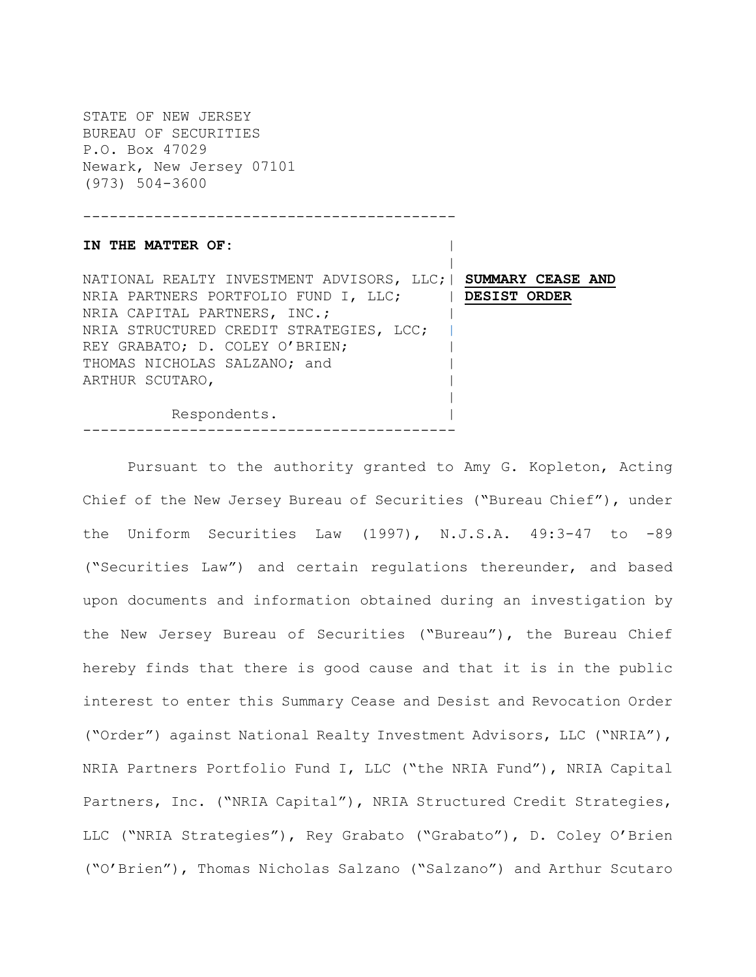STATE OF NEW JERSEY BUREAU OF SECURITIES P.O. Box 47029 Newark, New Jersey 07101 (973) 504-3600

------------------------------------------

### IN THE MATTER OF:

 | NATIONAL REALTY INVESTMENT ADVISORS, LLC;| **SUMMARY CEASE AND** NRIA PARTNERS PORTFOLIO FUND I, LLC; | **DESIST ORDER** NRIA CAPITAL PARTNERS, INC.; NRIA STRUCTURED CREDIT STRATEGIES, LCC; REY GRABATO; D. COLEY O'BRIEN; THOMAS NICHOLAS SALZANO; and | ARTHUR SCUTARO, | |

Respondents.

------------------------------------------

Pursuant to the authority granted to Amy G. Kopleton, Acting Chief of the New Jersey Bureau of Securities ("Bureau Chief"), under the Uniform Securities Law (1997), N.J.S.A. 49:3-47 to -89 ("Securities Law") and certain regulations thereunder, and based upon documents and information obtained during an investigation by the New Jersey Bureau of Securities ("Bureau"), the Bureau Chief hereby finds that there is good cause and that it is in the public interest to enter this Summary Cease and Desist and Revocation Order ("Order") against National Realty Investment Advisors, LLC ("NRIA"), NRIA Partners Portfolio Fund I, LLC ("the NRIA Fund"), NRIA Capital Partners, Inc. ("NRIA Capital"), NRIA Structured Credit Strategies, LLC ("NRIA Strategies"), Rey Grabato ("Grabato"), D. Coley O'Brien ("O'Brien"), Thomas Nicholas Salzano ("Salzano") and Arthur Scutaro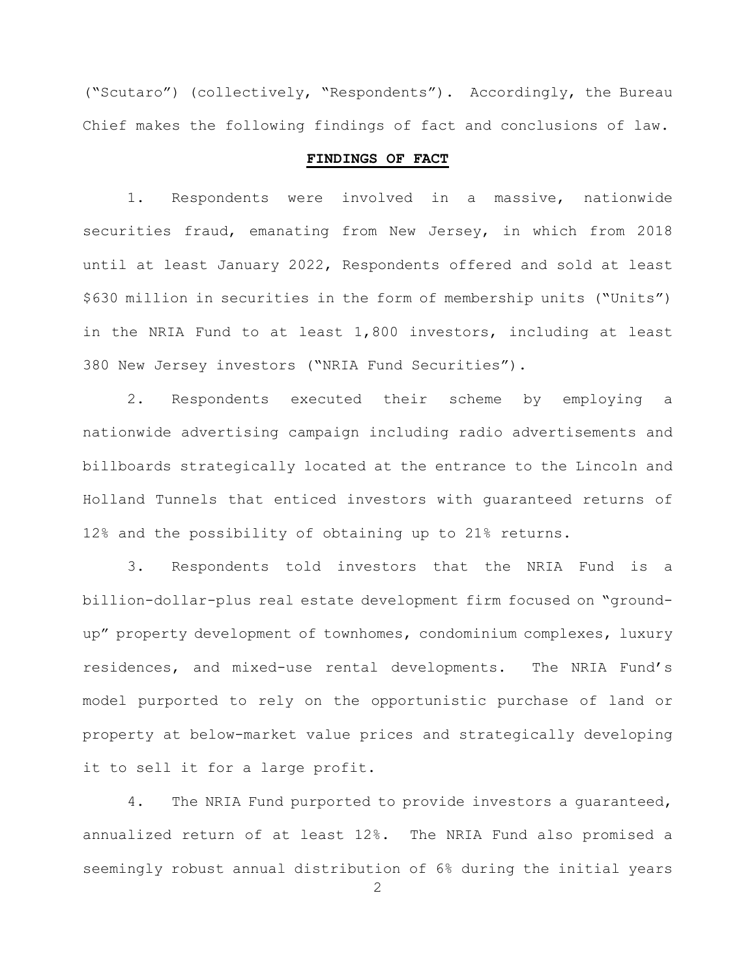("Scutaro") (collectively, "Respondents"). Accordingly, the Bureau Chief makes the following findings of fact and conclusions of law.

### **FINDINGS OF FACT**

1. Respondents were involved in a massive, nationwide securities fraud, emanating from New Jersey, in which from 2018 until at least January 2022, Respondents offered and sold at least \$630 million in securities in the form of membership units ("Units") in the NRIA Fund to at least 1,800 investors, including at least 380 New Jersey investors ("NRIA Fund Securities").

2. Respondents executed their scheme by employing a nationwide advertising campaign including radio advertisements and billboards strategically located at the entrance to the Lincoln and Holland Tunnels that enticed investors with guaranteed returns of 12% and the possibility of obtaining up to 21% returns.

3. Respondents told investors that the NRIA Fund is a billion-dollar-plus real estate development firm focused on "groundup" property development of townhomes, condominium complexes, luxury residences, and mixed-use rental developments. The NRIA Fund's model purported to rely on the opportunistic purchase of land or property at below-market value prices and strategically developing it to sell it for a large profit.

4. The NRIA Fund purported to provide investors a quaranteed, annualized return of at least 12%. The NRIA Fund also promised a seemingly robust annual distribution of 6% during the initial years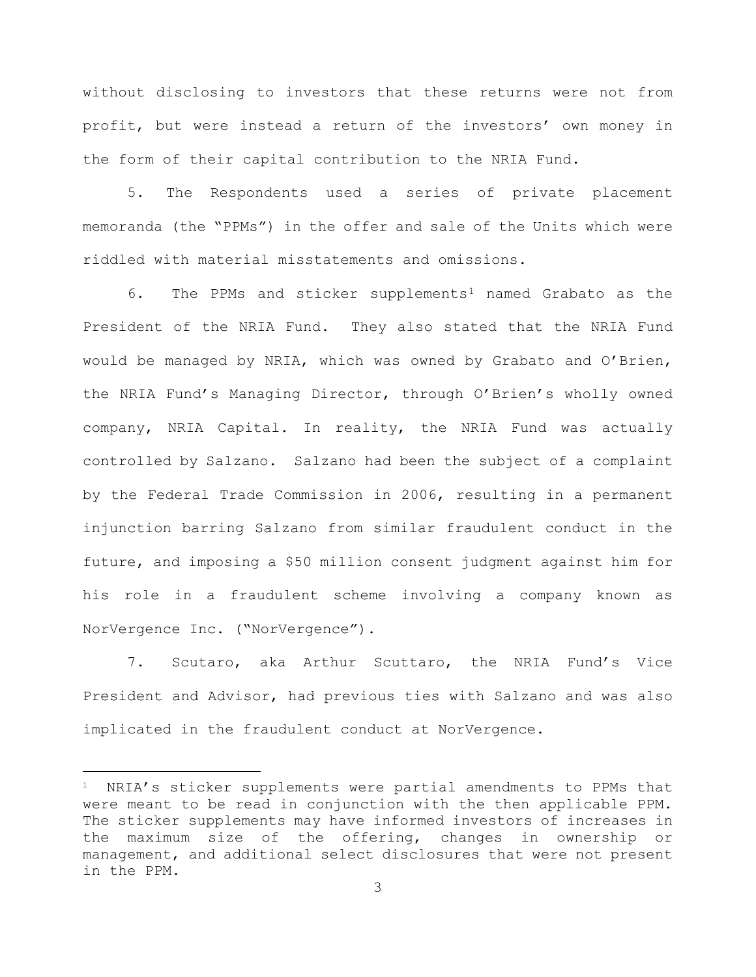without disclosing to investors that these returns were not from profit, but were instead a return of the investors' own money in the form of their capital contribution to the NRIA Fund.

5. The Respondents used a series of private placement memoranda (the "PPMs") in the offer and sale of the Units which were riddled with material misstatements and omissions.

6. The PPMs and sticker supplements<sup>[1](#page-2-0)</sup> named Grabato as the President of the NRIA Fund. They also stated that the NRIA Fund would be managed by NRIA, which was owned by Grabato and O'Brien, the NRIA Fund's Managing Director, through O'Brien's wholly owned company, NRIA Capital. In reality, the NRIA Fund was actually controlled by Salzano. Salzano had been the subject of a complaint by the Federal Trade Commission in 2006, resulting in a permanent injunction barring Salzano from similar fraudulent conduct in the future, and imposing a \$50 million consent judgment against him for his role in a fraudulent scheme involving a company known as NorVergence Inc. ("NorVergence").

7. Scutaro, aka Arthur Scuttaro, the NRIA Fund's Vice President and Advisor, had previous ties with Salzano and was also implicated in the fraudulent conduct at NorVergence.

—

<span id="page-2-0"></span><sup>&</sup>lt;sup>1</sup> NRIA's sticker supplements were partial amendments to PPMs that were meant to be read in conjunction with the then applicable PPM. The sticker supplements may have informed investors of increases in the maximum size of the offering, changes in ownership or management, and additional select disclosures that were not present in the PPM.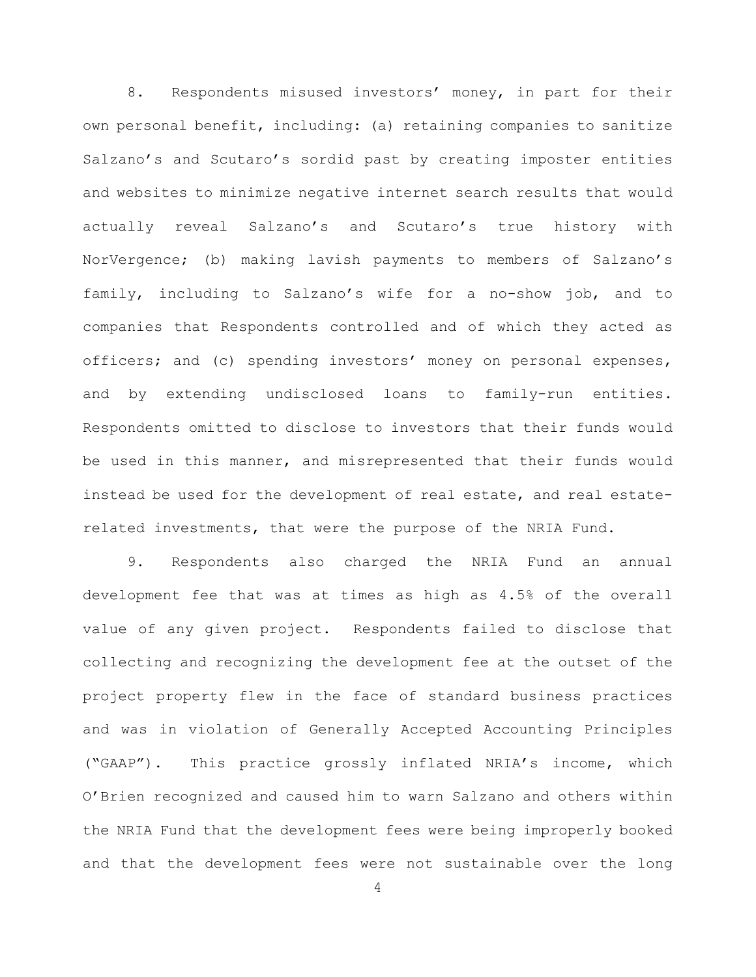8. Respondents misused investors' money, in part for their own personal benefit, including: (a) retaining companies to sanitize Salzano's and Scutaro's sordid past by creating imposter entities and websites to minimize negative internet search results that would actually reveal Salzano's and Scutaro's true history with NorVergence; (b) making lavish payments to members of Salzano's family, including to Salzano's wife for a no-show job, and to companies that Respondents controlled and of which they acted as officers; and (c) spending investors' money on personal expenses, and by extending undisclosed loans to family-run entities. Respondents omitted to disclose to investors that their funds would be used in this manner, and misrepresented that their funds would instead be used for the development of real estate, and real estaterelated investments, that were the purpose of the NRIA Fund.

9. Respondents also charged the NRIA Fund an annual development fee that was at times as high as 4.5% of the overall value of any given project. Respondents failed to disclose that collecting and recognizing the development fee at the outset of the project property flew in the face of standard business practices and was in violation of Generally Accepted Accounting Principles ("GAAP"). This practice grossly inflated NRIA's income, which O'Brien recognized and caused him to warn Salzano and others within the NRIA Fund that the development fees were being improperly booked and that the development fees were not sustainable over the long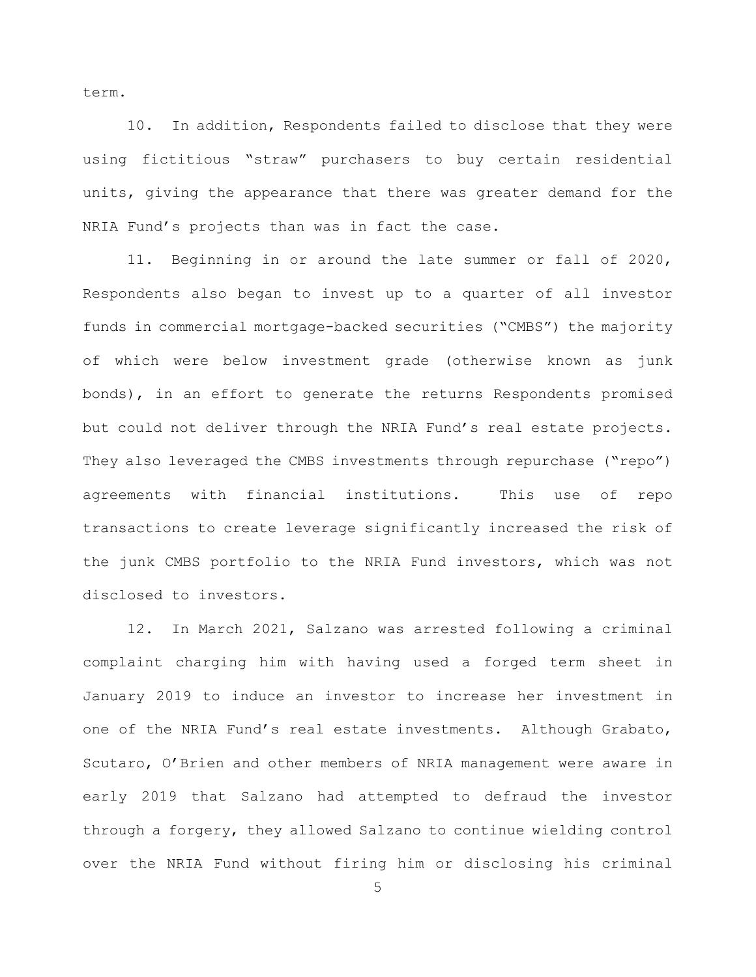term.

10. In addition, Respondents failed to disclose that they were using fictitious "straw" purchasers to buy certain residential units, giving the appearance that there was greater demand for the NRIA Fund's projects than was in fact the case.

11. Beginning in or around the late summer or fall of 2020, Respondents also began to invest up to a quarter of all investor funds in commercial mortgage-backed securities ("CMBS") the majority of which were below investment grade (otherwise known as junk bonds), in an effort to generate the returns Respondents promised but could not deliver through the NRIA Fund's real estate projects. They also leveraged the CMBS investments through repurchase ("repo") agreements with financial institutions. This use of repo transactions to create leverage significantly increased the risk of the junk CMBS portfolio to the NRIA Fund investors, which was not disclosed to investors.

12. In March 2021, Salzano was arrested following a criminal complaint charging him with having used a forged term sheet in January 2019 to induce an investor to increase her investment in one of the NRIA Fund's real estate investments. Although Grabato, Scutaro, O'Brien and other members of NRIA management were aware in early 2019 that Salzano had attempted to defraud the investor through a forgery, they allowed Salzano to continue wielding control over the NRIA Fund without firing him or disclosing his criminal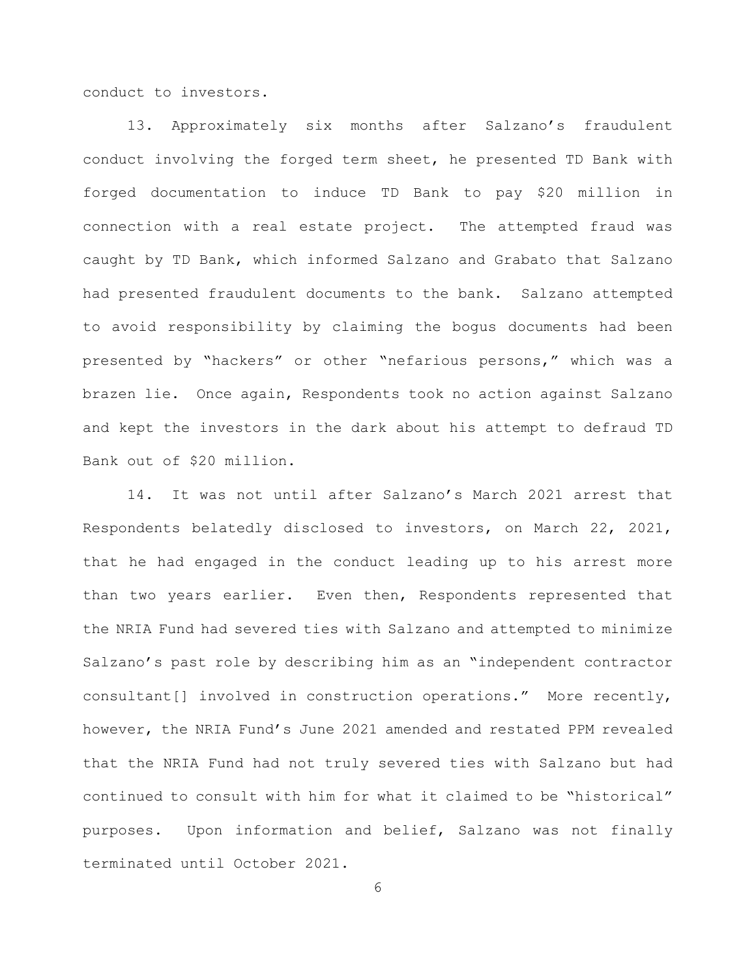conduct to investors.

13. Approximately six months after Salzano's fraudulent conduct involving the forged term sheet, he presented TD Bank with forged documentation to induce TD Bank to pay \$20 million in connection with a real estate project. The attempted fraud was caught by TD Bank, which informed Salzano and Grabato that Salzano had presented fraudulent documents to the bank. Salzano attempted to avoid responsibility by claiming the bogus documents had been presented by "hackers" or other "nefarious persons," which was a brazen lie. Once again, Respondents took no action against Salzano and kept the investors in the dark about his attempt to defraud TD Bank out of \$20 million.

14. It was not until after Salzano's March 2021 arrest that Respondents belatedly disclosed to investors, on March 22, 2021, that he had engaged in the conduct leading up to his arrest more than two years earlier. Even then, Respondents represented that the NRIA Fund had severed ties with Salzano and attempted to minimize Salzano's past role by describing him as an "independent contractor consultant[] involved in construction operations." More recently, however, the NRIA Fund's June 2021 amended and restated PPM revealed that the NRIA Fund had not truly severed ties with Salzano but had continued to consult with him for what it claimed to be "historical" purposes. Upon information and belief, Salzano was not finally terminated until October 2021.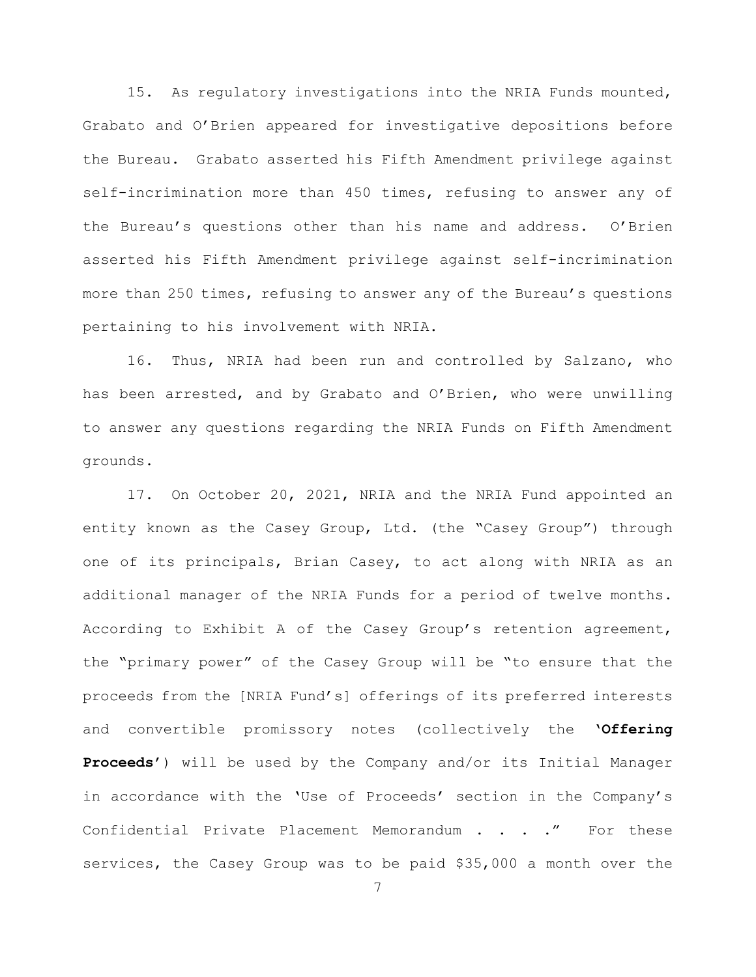15. As regulatory investigations into the NRIA Funds mounted, Grabato and O'Brien appeared for investigative depositions before the Bureau. Grabato asserted his Fifth Amendment privilege against self-incrimination more than 450 times, refusing to answer any of the Bureau's questions other than his name and address. O'Brien asserted his Fifth Amendment privilege against self-incrimination more than 250 times, refusing to answer any of the Bureau's questions pertaining to his involvement with NRIA.

16. Thus, NRIA had been run and controlled by Salzano, who has been arrested, and by Grabato and O'Brien, who were unwilling to answer any questions regarding the NRIA Funds on Fifth Amendment grounds.

17. On October 20, 2021, NRIA and the NRIA Fund appointed an entity known as the Casey Group, Ltd. (the "Casey Group") through one of its principals, Brian Casey, to act along with NRIA as an additional manager of the NRIA Funds for a period of twelve months. According to Exhibit A of the Casey Group's retention agreement, the "primary power" of the Casey Group will be "to ensure that the proceeds from the [NRIA Fund's] offerings of its preferred interests and convertible promissory notes (collectively the '**Offering Proceeds'**) will be used by the Company and/or its Initial Manager in accordance with the 'Use of Proceeds' section in the Company's Confidential Private Placement Memorandum . . . . " For these services, the Casey Group was to be paid \$35,000 a month over the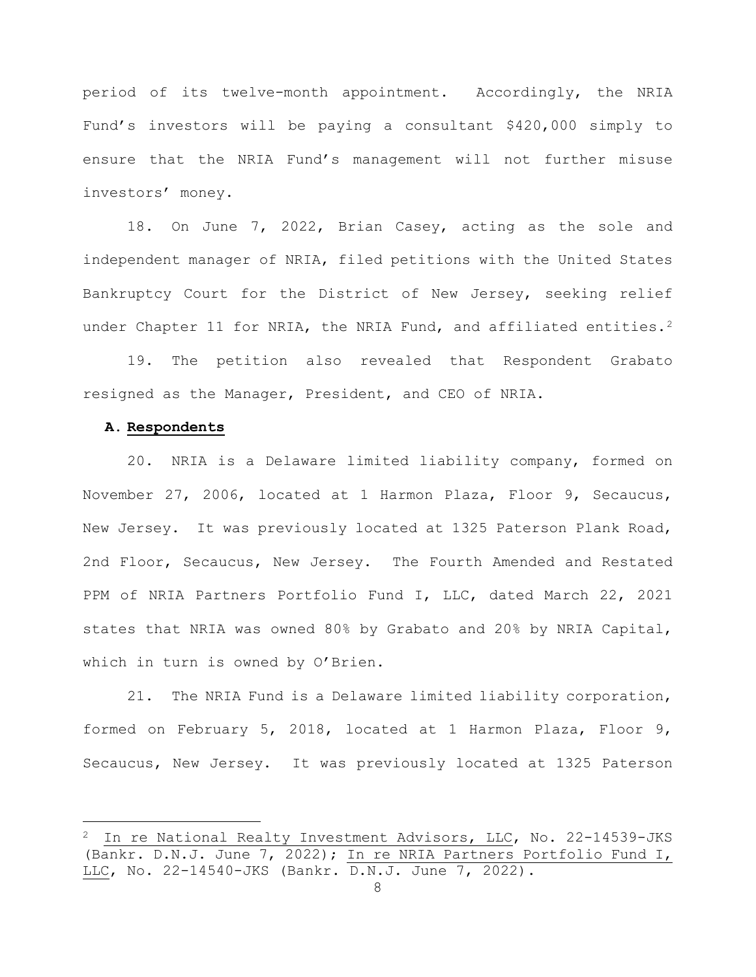period of its twelve-month appointment. Accordingly, the NRIA Fund's investors will be paying a consultant \$420,000 simply to ensure that the NRIA Fund's management will not further misuse investors' money.

18. On June 7, 2022, Brian Casey, acting as the sole and independent manager of NRIA, filed petitions with the United States Bankruptcy Court for the District of New Jersey, seeking relief under Chapter 11 for NRIA, the NRIA Fund, and affiliated entities.<sup>[2](#page-7-0)</sup>

19. The petition also revealed that Respondent Grabato resigned as the Manager, President, and CEO of NRIA.

### **A. Respondents**

—

20. NRIA is a Delaware limited liability company, formed on November 27, 2006, located at 1 Harmon Plaza, Floor 9, Secaucus, New Jersey. It was previously located at 1325 Paterson Plank Road, 2nd Floor, Secaucus, New Jersey. The Fourth Amended and Restated PPM of NRIA Partners Portfolio Fund I, LLC, dated March 22, 2021 states that NRIA was owned 80% by Grabato and 20% by NRIA Capital, which in turn is owned by O'Brien.

21. The NRIA Fund is a Delaware limited liability corporation, formed on February 5, 2018, located at 1 Harmon Plaza, Floor 9, Secaucus, New Jersey. It was previously located at 1325 Paterson

<span id="page-7-0"></span> $2$  In re National Realty Investment Advisors, LLC, No. 22-14539-JKS (Bankr. D.N.J. June 7, 2022); In re NRIA Partners Portfolio Fund I, LLC, No. 22-14540-JKS (Bankr. D.N.J. June 7, 2022).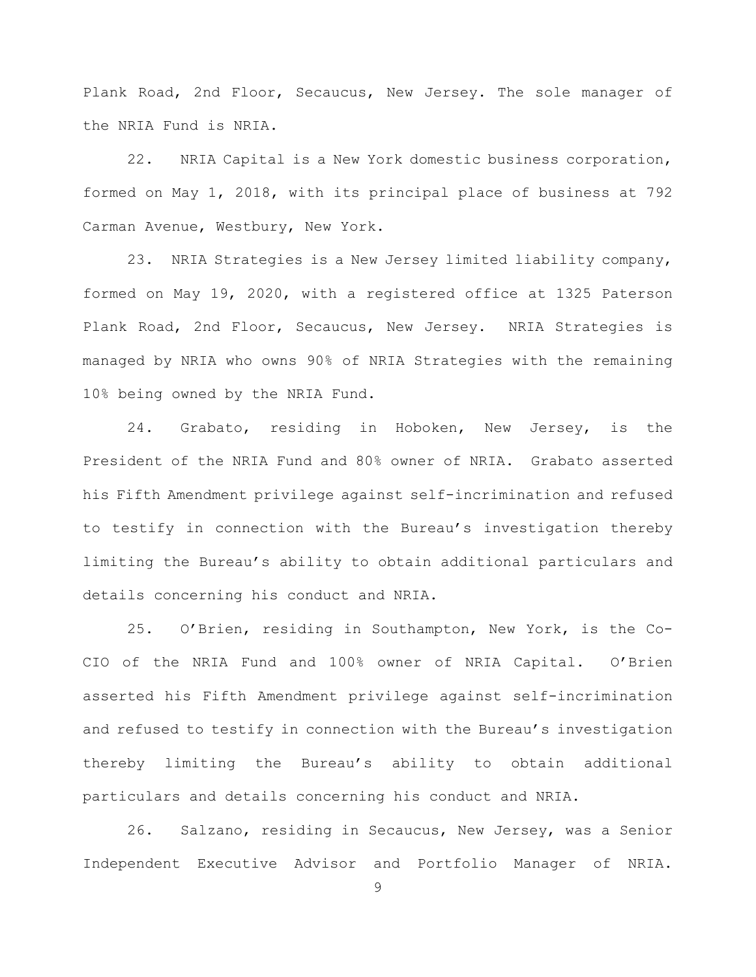Plank Road, 2nd Floor, Secaucus, New Jersey. The sole manager of the NRIA Fund is NRIA.

22. NRIA Capital is a New York domestic business corporation, formed on May 1, 2018, with its principal place of business at 792 Carman Avenue, Westbury, New York.

23. NRIA Strategies is a New Jersey limited liability company, formed on May 19, 2020, with a registered office at 1325 Paterson Plank Road, 2nd Floor, Secaucus, New Jersey. NRIA Strategies is managed by NRIA who owns 90% of NRIA Strategies with the remaining 10% being owned by the NRIA Fund.

24. Grabato, residing in Hoboken, New Jersey, is the President of the NRIA Fund and 80% owner of NRIA. Grabato asserted his Fifth Amendment privilege against self-incrimination and refused to testify in connection with the Bureau's investigation thereby limiting the Bureau's ability to obtain additional particulars and details concerning his conduct and NRIA.

25. O'Brien, residing in Southampton, New York, is the Co-CIO of the NRIA Fund and 100% owner of NRIA Capital. O'Brien asserted his Fifth Amendment privilege against self-incrimination and refused to testify in connection with the Bureau's investigation thereby limiting the Bureau's ability to obtain additional particulars and details concerning his conduct and NRIA.

26. Salzano, residing in Secaucus, New Jersey, was a Senior Independent Executive Advisor and Portfolio Manager of NRIA.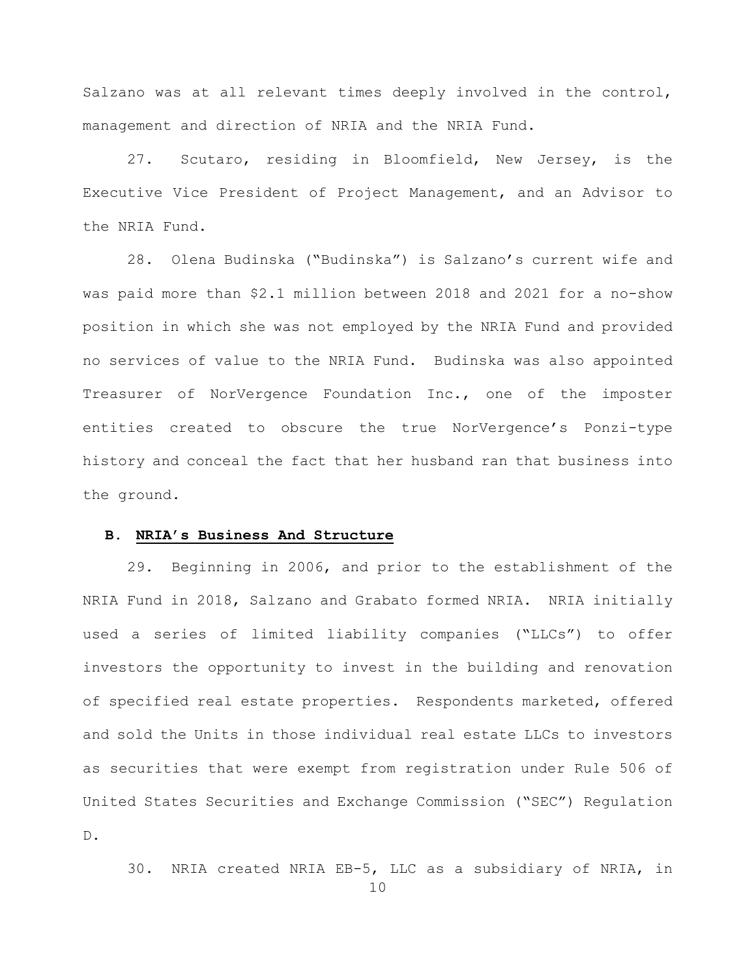Salzano was at all relevant times deeply involved in the control, management and direction of NRIA and the NRIA Fund.

27. Scutaro, residing in Bloomfield, New Jersey, is the Executive Vice President of Project Management, and an Advisor to the NRIA Fund.

28. Olena Budinska ("Budinska") is Salzano's current wife and was paid more than \$2.1 million between 2018 and 2021 for a no-show position in which she was not employed by the NRIA Fund and provided no services of value to the NRIA Fund. Budinska was also appointed Treasurer of NorVergence Foundation Inc., one of the imposter entities created to obscure the true NorVergence's Ponzi-type history and conceal the fact that her husband ran that business into the ground.

#### **B. NRIA's Business And Structure**

29. Beginning in 2006, and prior to the establishment of the NRIA Fund in 2018, Salzano and Grabato formed NRIA. NRIA initially used a series of limited liability companies ("LLCs") to offer investors the opportunity to invest in the building and renovation of specified real estate properties. Respondents marketed, offered and sold the Units in those individual real estate LLCs to investors as securities that were exempt from registration under Rule 506 of United States Securities and Exchange Commission ("SEC") Regulation D.

30. NRIA created NRIA EB-5, LLC as a subsidiary of NRIA, in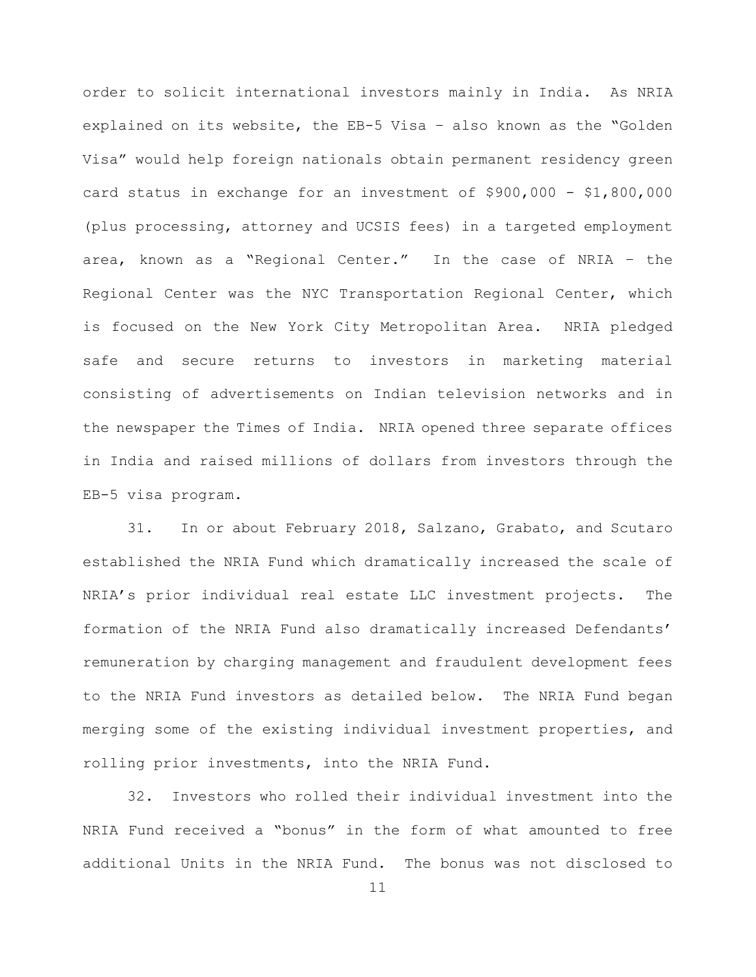order to solicit international investors mainly in India. As NRIA explained on its website, the EB-5 Visa – also known as the "Golden Visa" would help foreign nationals obtain permanent residency green card status in exchange for an investment of \$900,000 - \$1,800,000 (plus processing, attorney and UCSIS fees) in a targeted employment area, known as a "Regional Center." In the case of NRIA – the Regional Center was the NYC Transportation Regional Center, which is focused on the New York City Metropolitan Area. NRIA pledged safe and secure returns to investors in marketing material consisting of advertisements on Indian television networks and in the newspaper the Times of India. NRIA opened three separate offices in India and raised millions of dollars from investors through the EB-5 visa program.

31. In or about February 2018, Salzano, Grabato, and Scutaro established the NRIA Fund which dramatically increased the scale of NRIA's prior individual real estate LLC investment projects. The formation of the NRIA Fund also dramatically increased Defendants' remuneration by charging management and fraudulent development fees to the NRIA Fund investors as detailed below. The NRIA Fund began merging some of the existing individual investment properties, and rolling prior investments, into the NRIA Fund.

32. Investors who rolled their individual investment into the NRIA Fund received a "bonus" in the form of what amounted to free additional Units in the NRIA Fund. The bonus was not disclosed to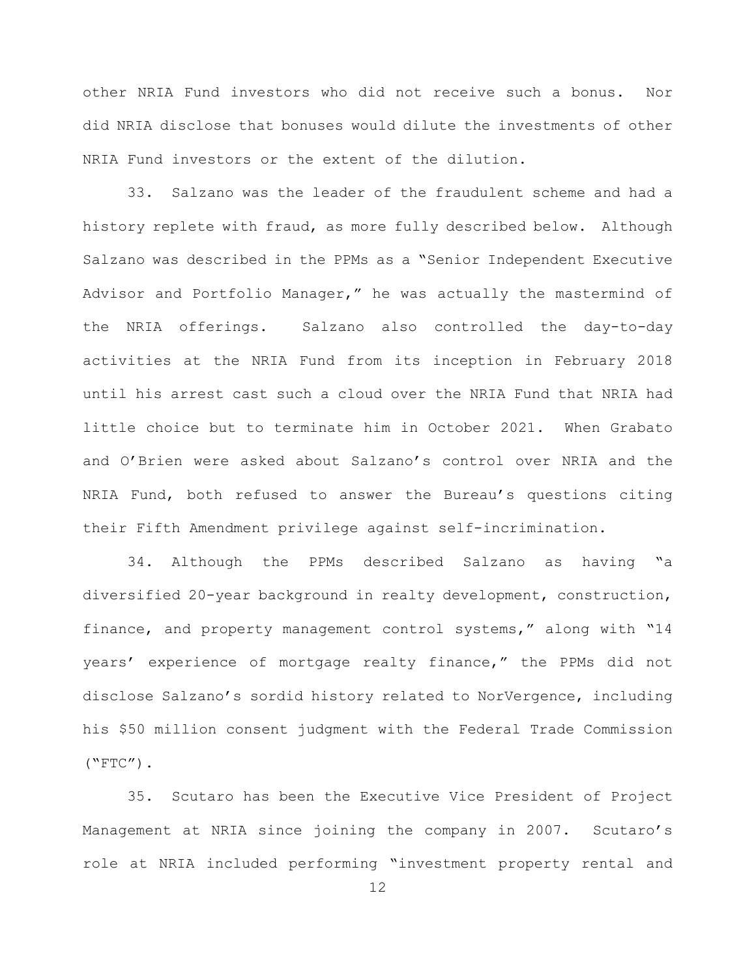other NRIA Fund investors who did not receive such a bonus. Nor did NRIA disclose that bonuses would dilute the investments of other NRIA Fund investors or the extent of the dilution.

33. Salzano was the leader of the fraudulent scheme and had a history replete with fraud, as more fully described below. Although Salzano was described in the PPMs as a "Senior Independent Executive Advisor and Portfolio Manager," he was actually the mastermind of the NRIA offerings. Salzano also controlled the day-to-day activities at the NRIA Fund from its inception in February 2018 until his arrest cast such a cloud over the NRIA Fund that NRIA had little choice but to terminate him in October 2021. When Grabato and O'Brien were asked about Salzano's control over NRIA and the NRIA Fund, both refused to answer the Bureau's questions citing their Fifth Amendment privilege against self-incrimination.

34. Although the PPMs described Salzano as having "a diversified 20-year background in realty development, construction, finance, and property management control systems," along with "14 years' experience of mortgage realty finance," the PPMs did not disclose Salzano's sordid history related to NorVergence, including his \$50 million consent judgment with the Federal Trade Commission  $($ "FTC" $)$ .

35. Scutaro has been the Executive Vice President of Project Management at NRIA since joining the company in 2007. Scutaro's role at NRIA included performing "investment property rental and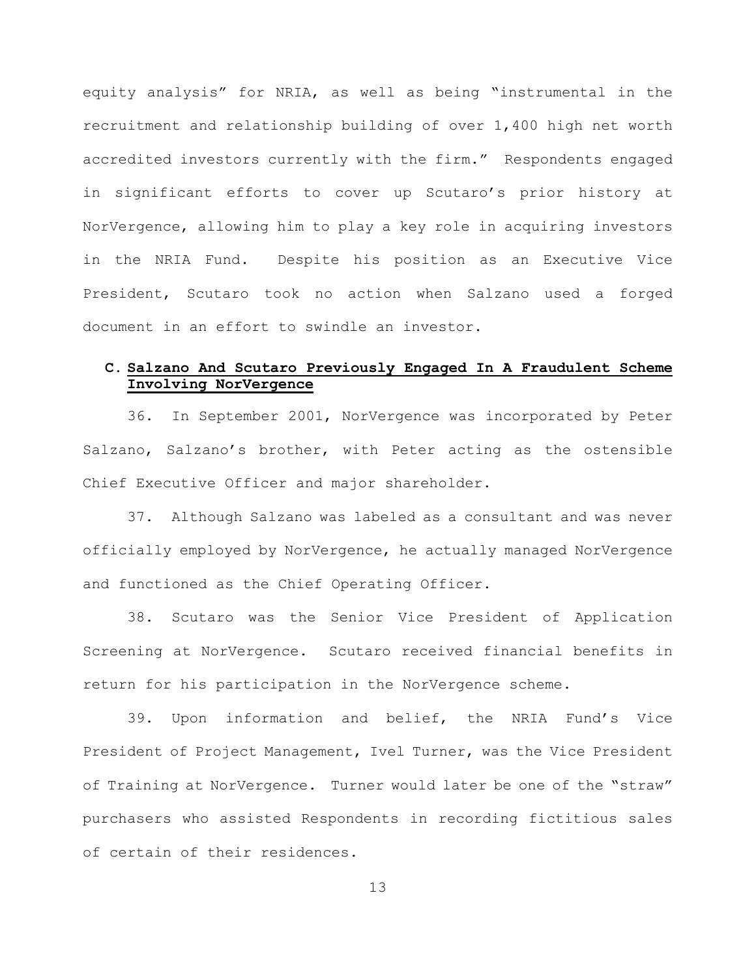equity analysis" for NRIA, as well as being "instrumental in the recruitment and relationship building of over 1,400 high net worth accredited investors currently with the firm." Respondents engaged in significant efforts to cover up Scutaro's prior history at NorVergence, allowing him to play a key role in acquiring investors in the NRIA Fund. Despite his position as an Executive Vice President, Scutaro took no action when Salzano used a forged document in an effort to swindle an investor.

## **C. Salzano And Scutaro Previously Engaged In A Fraudulent Scheme Involving NorVergence**

36. In September 2001, NorVergence was incorporated by Peter Salzano, Salzano's brother, with Peter acting as the ostensible Chief Executive Officer and major shareholder.

37. Although Salzano was labeled as a consultant and was never officially employed by NorVergence, he actually managed NorVergence and functioned as the Chief Operating Officer.

38. Scutaro was the Senior Vice President of Application Screening at NorVergence. Scutaro received financial benefits in return for his participation in the NorVergence scheme.

39. Upon information and belief, the NRIA Fund's Vice President of Project Management, Ivel Turner, was the Vice President of Training at NorVergence. Turner would later be one of the "straw" purchasers who assisted Respondents in recording fictitious sales of certain of their residences.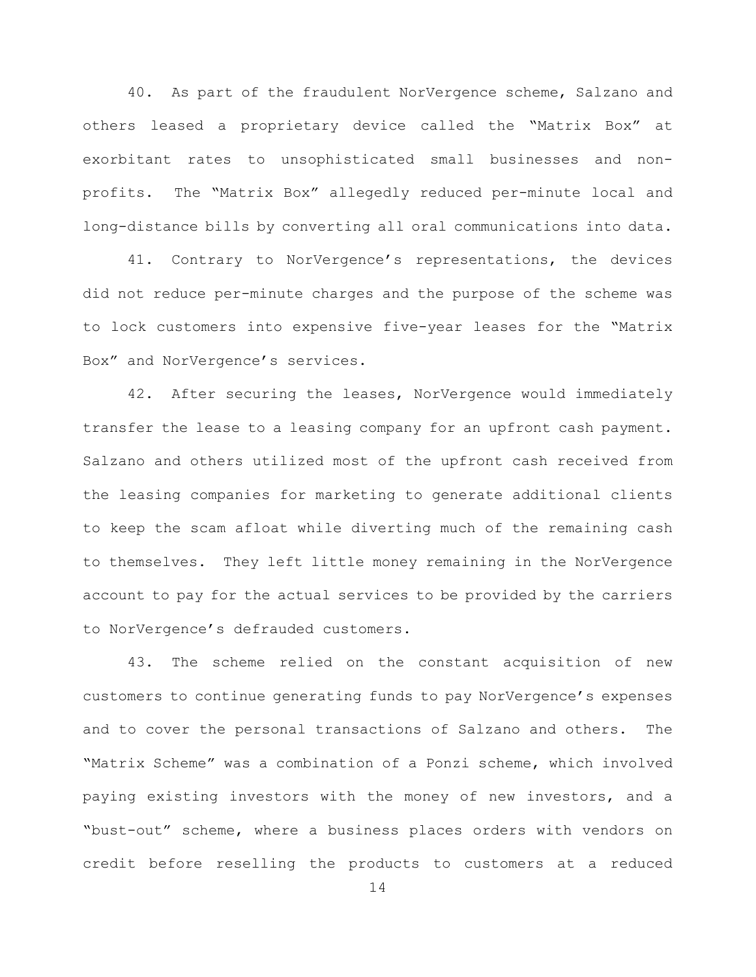40. As part of the fraudulent NorVergence scheme, Salzano and others leased a proprietary device called the "Matrix Box" at exorbitant rates to unsophisticated small businesses and nonprofits. The "Matrix Box" allegedly reduced per-minute local and long-distance bills by converting all oral communications into data.

41. Contrary to NorVergence's representations, the devices did not reduce per-minute charges and the purpose of the scheme was to lock customers into expensive five-year leases for the "Matrix Box" and NorVergence's services.

42. After securing the leases, NorVergence would immediately transfer the lease to a leasing company for an upfront cash payment. Salzano and others utilized most of the upfront cash received from the leasing companies for marketing to generate additional clients to keep the scam afloat while diverting much of the remaining cash to themselves. They left little money remaining in the NorVergence account to pay for the actual services to be provided by the carriers to NorVergence's defrauded customers.

43. The scheme relied on the constant acquisition of new customers to continue generating funds to pay NorVergence's expenses and to cover the personal transactions of Salzano and others. The "Matrix Scheme" was a combination of a Ponzi scheme, which involved paying existing investors with the money of new investors, and a "bust-out" scheme, where a business places orders with vendors on credit before reselling the products to customers at a reduced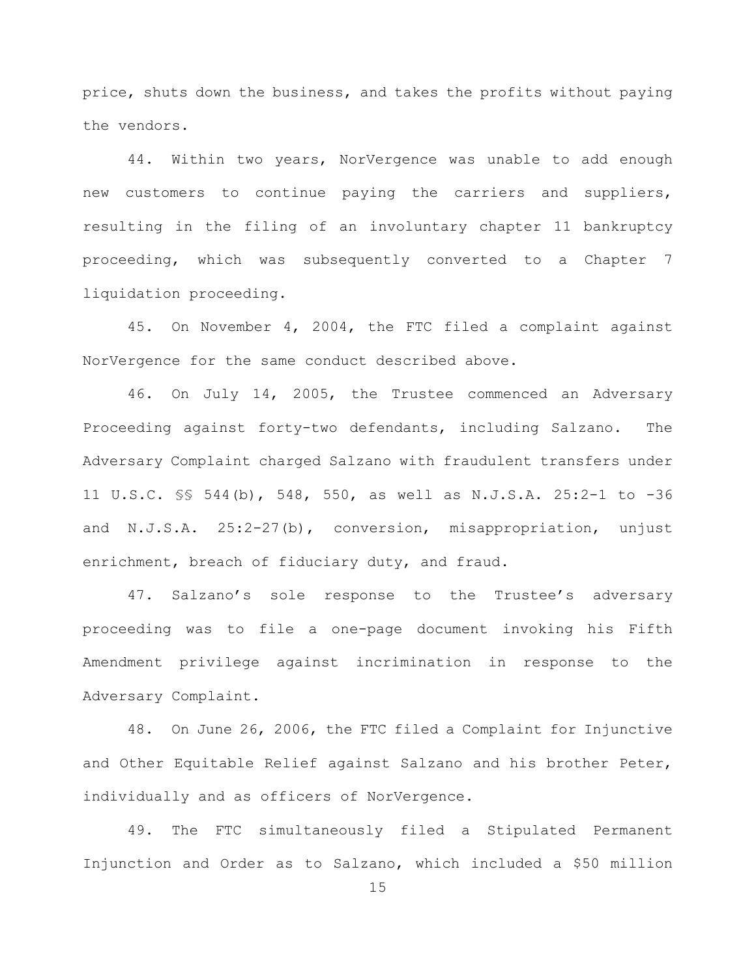price, shuts down the business, and takes the profits without paying the vendors.

44. Within two years, NorVergence was unable to add enough new customers to continue paying the carriers and suppliers, resulting in the filing of an involuntary chapter 11 bankruptcy proceeding, which was subsequently converted to a Chapter 7 liquidation proceeding.

45. On November 4, 2004, the FTC filed a complaint against NorVergence for the same conduct described above.

46. On July 14, 2005, the Trustee commenced an Adversary Proceeding against forty-two defendants, including Salzano. The Adversary Complaint charged Salzano with fraudulent transfers under 11 U.S.C. §§ 544(b), 548, 550, as well as N.J.S.A. 25:2-1 to -36 and N.J.S.A. 25:2-27(b), conversion, misappropriation, unjust enrichment, breach of fiduciary duty, and fraud.

47. Salzano's sole response to the Trustee's adversary proceeding was to file a one-page document invoking his Fifth Amendment privilege against incrimination in response to the Adversary Complaint.

48. On June 26, 2006, the FTC filed a Complaint for Injunctive and Other Equitable Relief against Salzano and his brother Peter, individually and as officers of NorVergence.

49. The FTC simultaneously filed a Stipulated Permanent Injunction and Order as to Salzano, which included a \$50 million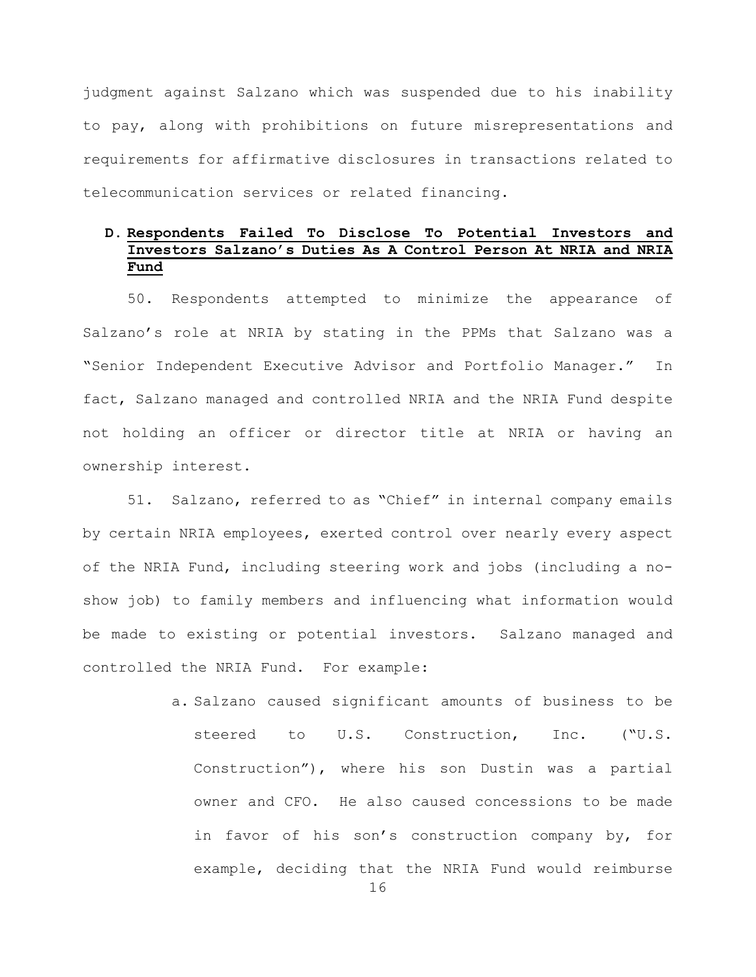judgment against Salzano which was suspended due to his inability to pay, along with prohibitions on future misrepresentations and requirements for affirmative disclosures in transactions related to telecommunication services or related financing.

# **D. Respondents Failed To Disclose To Potential Investors and Investors Salzano's Duties As A Control Person At NRIA and NRIA Fund**

50. Respondents attempted to minimize the appearance of Salzano's role at NRIA by stating in the PPMs that Salzano was a "Senior Independent Executive Advisor and Portfolio Manager." In fact, Salzano managed and controlled NRIA and the NRIA Fund despite not holding an officer or director title at NRIA or having an ownership interest.

51. Salzano, referred to as "Chief" in internal company emails by certain NRIA employees, exerted control over nearly every aspect of the NRIA Fund, including steering work and jobs (including a noshow job) to family members and influencing what information would be made to existing or potential investors. Salzano managed and controlled the NRIA Fund. For example:

> a. Salzano caused significant amounts of business to be steered to U.S. Construction, Inc. ("U.S. Construction"), where his son Dustin was a partial owner and CFO. He also caused concessions to be made in favor of his son's construction company by, for example, deciding that the NRIA Fund would reimburse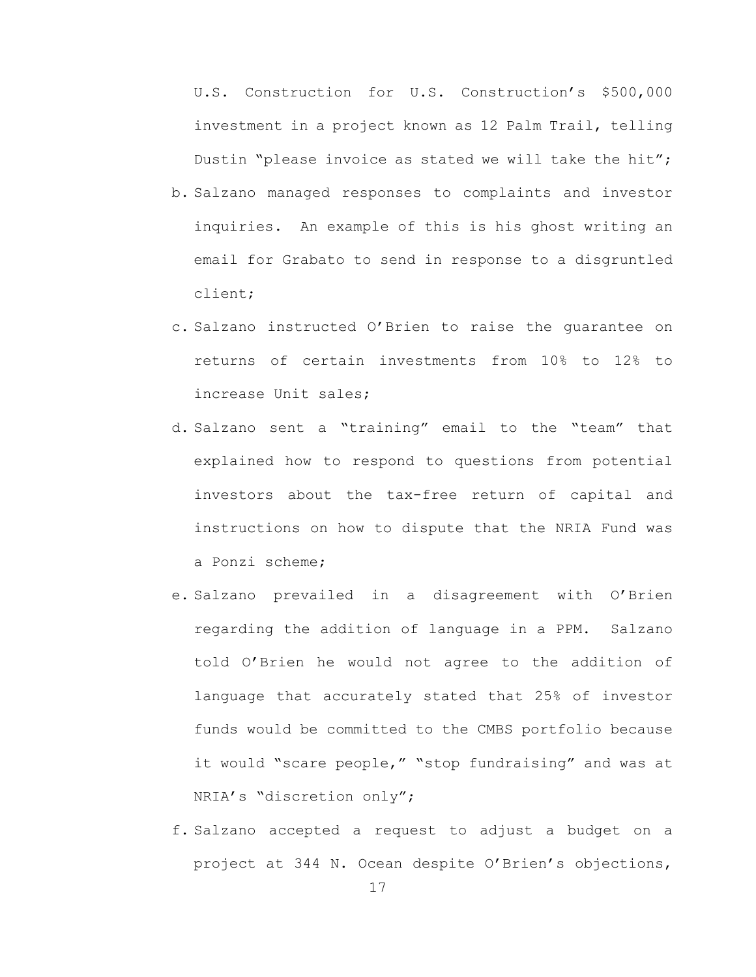U.S. Construction for U.S. Construction's \$500,000 investment in a project known as 12 Palm Trail, telling Dustin "please invoice as stated we will take the hit";

- b. Salzano managed responses to complaints and investor inquiries. An example of this is his ghost writing an email for Grabato to send in response to a disgruntled client;
- c. Salzano instructed O'Brien to raise the guarantee on returns of certain investments from 10% to 12% to increase Unit sales;
- d. Salzano sent a "training" email to the "team" that explained how to respond to questions from potential investors about the tax-free return of capital and instructions on how to dispute that the NRIA Fund was a Ponzi scheme;
- e. Salzano prevailed in a disagreement with O'Brien regarding the addition of language in a PPM. Salzano told O'Brien he would not agree to the addition of language that accurately stated that 25% of investor funds would be committed to the CMBS portfolio because it would "scare people," "stop fundraising" and was at NRIA's "discretion only";
- f. Salzano accepted a request to adjust a budget on a project at 344 N. Ocean despite O'Brien's objections,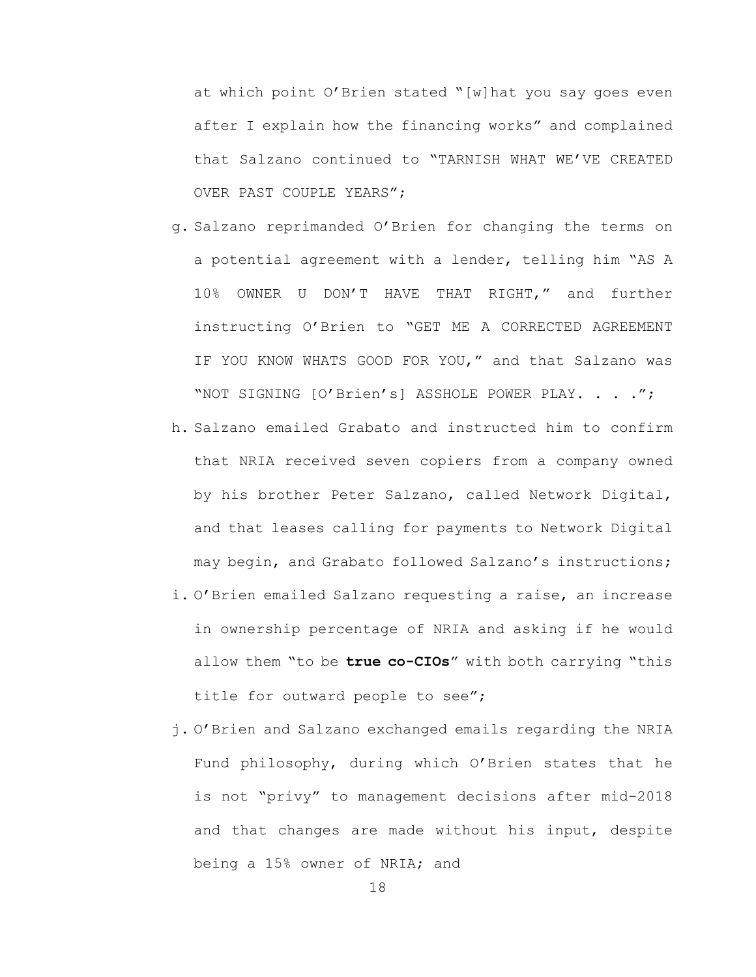at which point O'Brien stated "[w]hat you say goes even after I explain how the financing works" and complained that Salzano continued to "TARNISH WHAT WE'VE CREATED OVER PAST COUPLE YEARS";

- g. Salzano reprimanded O'Brien for changing the terms on a potential agreement with a lender, telling him "AS A 10% OWNER U DON'T HAVE THAT RIGHT," and further instructing O'Brien to "GET ME A CORRECTED AGREEMENT IF YOU KNOW WHATS GOOD FOR YOU," and that Salzano was "NOT SIGNING [O'Brien's] ASSHOLE POWER PLAY. . . . ";
- h. Salzano emailed Grabato and instructed him to confirm that NRIA received seven copiers from a company owned by his brother Peter Salzano, called Network Digital, and that leases calling for payments to Network Digital may begin, and Grabato followed Salzano's instructions;
- i. O'Brien emailed Salzano requesting a raise, an increase in ownership percentage of NRIA and asking if he would allow them "to be **true co-CIOs**" with both carrying "this title for outward people to see";
- j. O'Brien and Salzano exchanged emails regarding the NRIA Fund philosophy, during which O'Brien states that he is not "privy" to management decisions after mid-2018 and that changes are made without his input, despite being a 15% owner of NRIA; and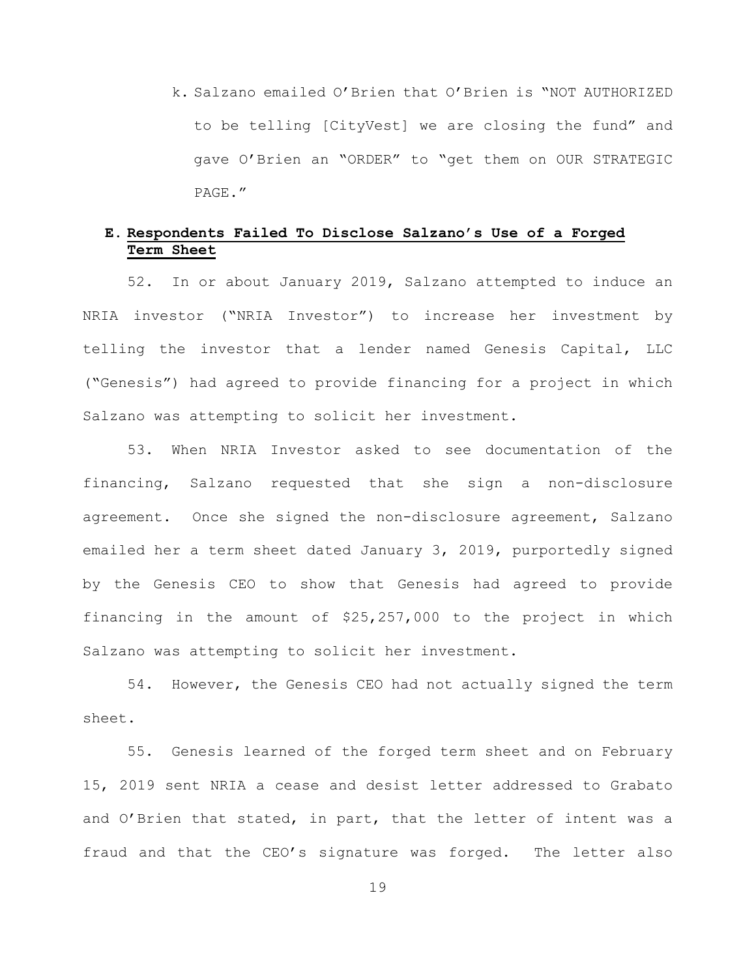k. Salzano emailed O'Brien that O'Brien is "NOT AUTHORIZED to be telling [CityVest] we are closing the fund" and gave O'Brien an "ORDER" to "get them on OUR STRATEGIC PAGE."

# **E. Respondents Failed To Disclose Salzano's Use of a Forged Term Sheet**

52. In or about January 2019, Salzano attempted to induce an NRIA investor ("NRIA Investor") to increase her investment by telling the investor that a lender named Genesis Capital, LLC ("Genesis") had agreed to provide financing for a project in which Salzano was attempting to solicit her investment.

53. When NRIA Investor asked to see documentation of the financing, Salzano requested that she sign a non-disclosure agreement. Once she signed the non-disclosure agreement, Salzano emailed her a term sheet dated January 3, 2019, purportedly signed by the Genesis CEO to show that Genesis had agreed to provide financing in the amount of \$25,257,000 to the project in which Salzano was attempting to solicit her investment.

54. However, the Genesis CEO had not actually signed the term sheet.

55. Genesis learned of the forged term sheet and on February 15, 2019 sent NRIA a cease and desist letter addressed to Grabato and O'Brien that stated, in part, that the letter of intent was a fraud and that the CEO's signature was forged. The letter also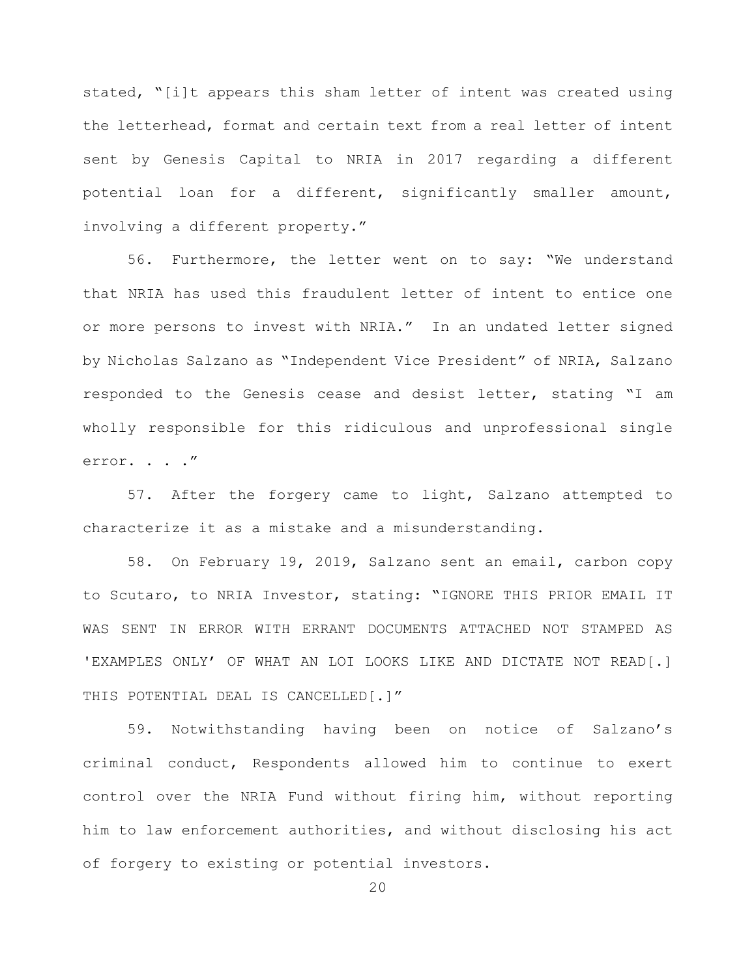stated, "[i]t appears this sham letter of intent was created using the letterhead, format and certain text from a real letter of intent sent by Genesis Capital to NRIA in 2017 regarding a different potential loan for a different, significantly smaller amount, involving a different property."

56. Furthermore, the letter went on to say: "We understand that NRIA has used this fraudulent letter of intent to entice one or more persons to invest with NRIA." In an undated letter signed by Nicholas Salzano as "Independent Vice President" of NRIA, Salzano responded to the Genesis cease and desist letter, stating "I am wholly responsible for this ridiculous and unprofessional single error. . . ."

57. After the forgery came to light, Salzano attempted to characterize it as a mistake and a misunderstanding.

58. On February 19, 2019, Salzano sent an email, carbon copy to Scutaro, to NRIA Investor, stating: "IGNORE THIS PRIOR EMAIL IT WAS SENT IN ERROR WITH ERRANT DOCUMENTS ATTACHED NOT STAMPED AS **'**EXAMPLES ONLY' OF WHAT AN LOI LOOKS LIKE AND DICTATE NOT READ[.] THIS POTENTIAL DEAL IS CANCELLED[.]"

59. Notwithstanding having been on notice of Salzano's criminal conduct, Respondents allowed him to continue to exert control over the NRIA Fund without firing him, without reporting him to law enforcement authorities, and without disclosing his act of forgery to existing or potential investors.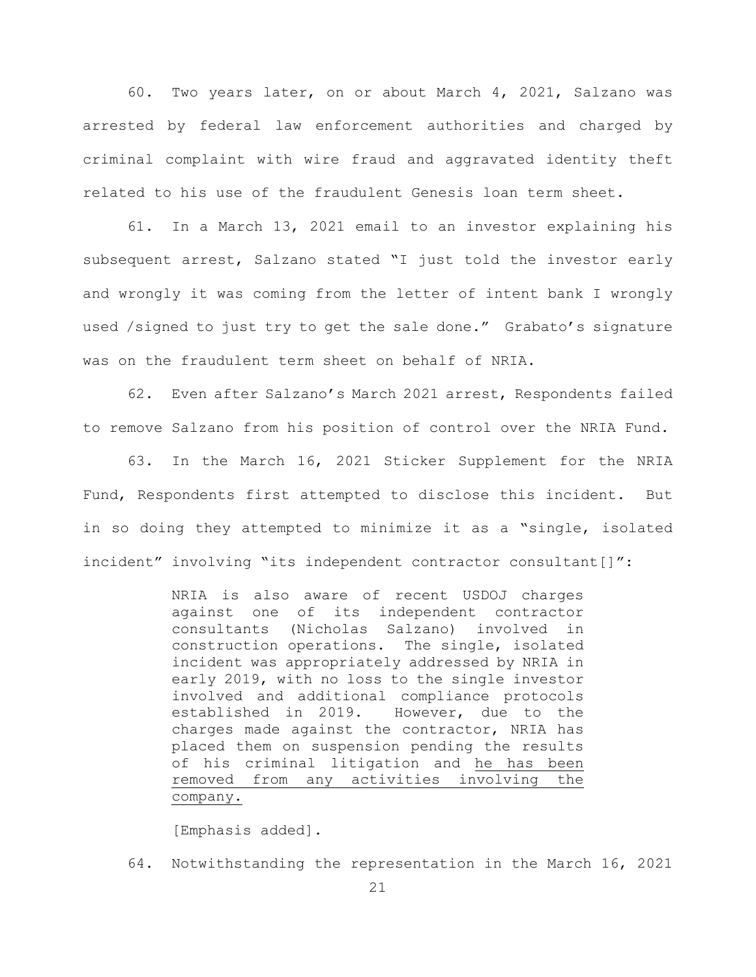60. Two years later, on or about March 4, 2021, Salzano was arrested by federal law enforcement authorities and charged by criminal complaint with wire fraud and aggravated identity theft related to his use of the fraudulent Genesis loan term sheet.

61. In a March 13, 2021 email to an investor explaining his subsequent arrest, Salzano stated "I just told the investor early and wrongly it was coming from the letter of intent bank I wrongly used /signed to just try to get the sale done." Grabato's signature was on the fraudulent term sheet on behalf of NRIA.

62. Even after Salzano's March 2021 arrest, Respondents failed to remove Salzano from his position of control over the NRIA Fund.

63. In the March 16, 2021 Sticker Supplement for the NRIA Fund, Respondents first attempted to disclose this incident. But in so doing they attempted to minimize it as a "single, isolated incident" involving "its independent contractor consultant[]":

> NRIA is also aware of recent USDOJ charges against one of its independent contractor consultants (Nicholas Salzano) involved in construction operations. The single, isolated incident was appropriately addressed by NRIA in early 2019, with no loss to the single investor involved and additional compliance protocols established in 2019. However, due to the charges made against the contractor, NRIA has placed them on suspension pending the results of his criminal litigation and he has been removed from any activities involving the company.

[Emphasis added].

64. Notwithstanding the representation in the March 16, 2021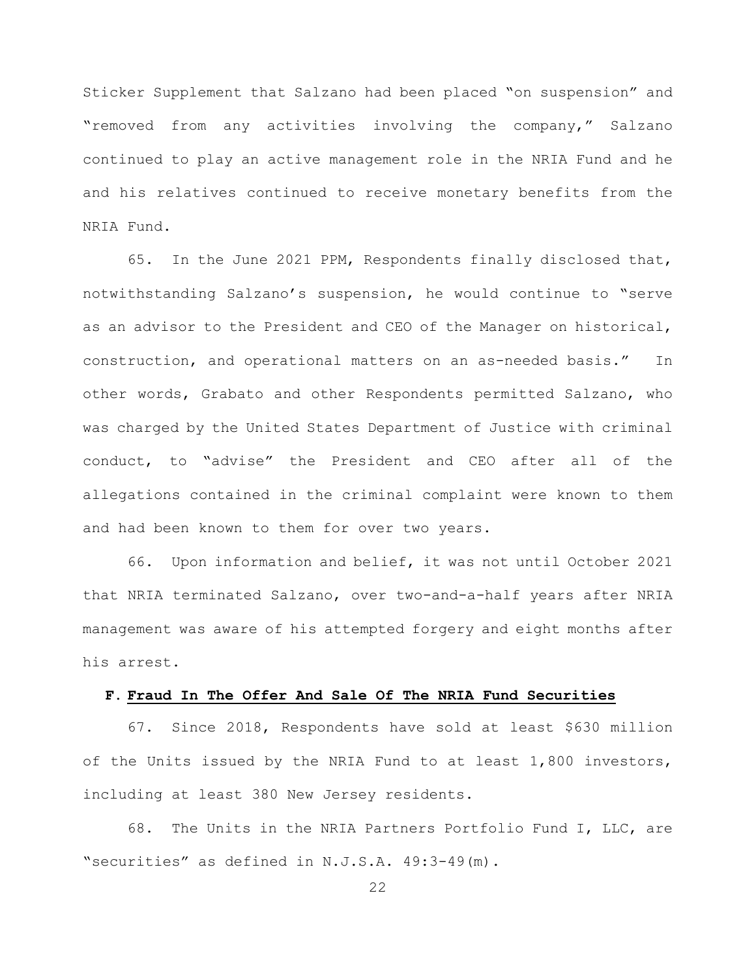Sticker Supplement that Salzano had been placed "on suspension" and "removed from any activities involving the company," Salzano continued to play an active management role in the NRIA Fund and he and his relatives continued to receive monetary benefits from the NRIA Fund.

65. In the June 2021 PPM, Respondents finally disclosed that, notwithstanding Salzano's suspension, he would continue to "serve as an advisor to the President and CEO of the Manager on historical, construction, and operational matters on an as-needed basis." In other words, Grabato and other Respondents permitted Salzano, who was charged by the United States Department of Justice with criminal conduct, to "advise" the President and CEO after all of the allegations contained in the criminal complaint were known to them and had been known to them for over two years.

66. Upon information and belief, it was not until October 2021 that NRIA terminated Salzano, over two-and-a-half years after NRIA management was aware of his attempted forgery and eight months after his arrest.

#### **F. Fraud In The Offer And Sale Of The NRIA Fund Securities**

67. Since 2018, Respondents have sold at least \$630 million of the Units issued by the NRIA Fund to at least 1,800 investors, including at least 380 New Jersey residents.

68. The Units in the NRIA Partners Portfolio Fund I, LLC, are "securities" as defined in N.J.S.A. 49:3-49(m).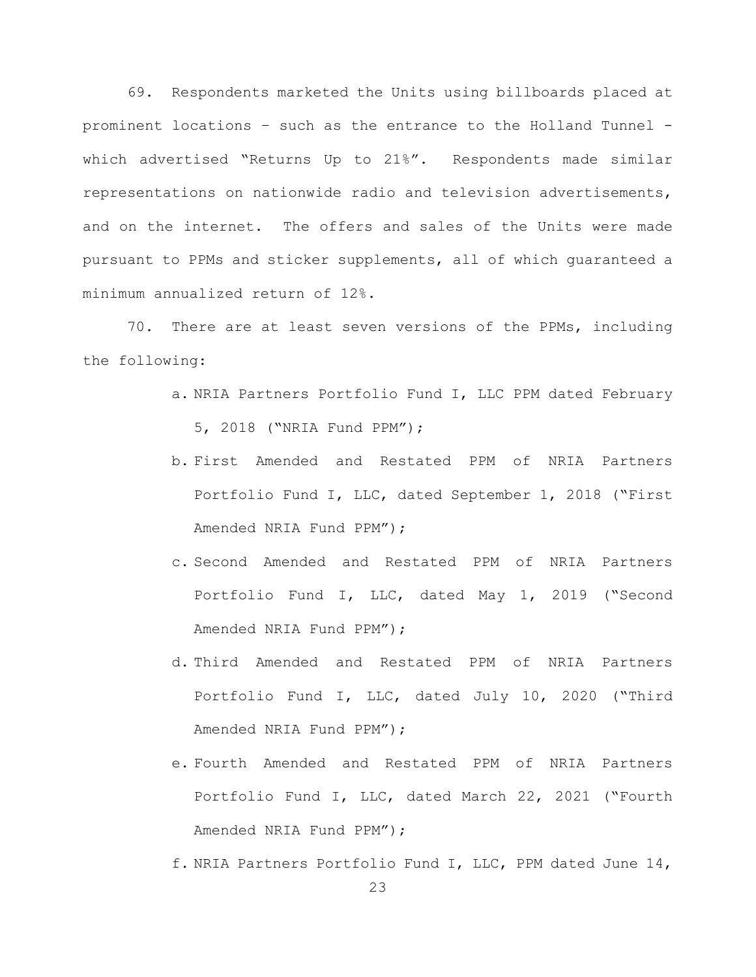69. Respondents marketed the Units using billboards placed at prominent locations – such as the entrance to the Holland Tunnel which advertised "Returns Up to 21%". Respondents made similar representations on nationwide radio and television advertisements, and on the internet. The offers and sales of the Units were made pursuant to PPMs and sticker supplements, all of which guaranteed a minimum annualized return of 12%.

70. There are at least seven versions of the PPMs, including the following:

- a. NRIA Partners Portfolio Fund I, LLC PPM dated February 5, 2018 ("NRIA Fund PPM");
- b. First Amended and Restated PPM of NRIA Partners Portfolio Fund I, LLC, dated September 1, 2018 ("First Amended NRIA Fund PPM");
- c. Second Amended and Restated PPM of NRIA Partners Portfolio Fund I, LLC, dated May 1, 2019 ("Second Amended NRIA Fund PPM");
- d. Third Amended and Restated PPM of NRIA Partners Portfolio Fund I, LLC, dated July 10, 2020 ("Third Amended NRIA Fund PPM");
- e. Fourth Amended and Restated PPM of NRIA Partners Portfolio Fund I, LLC, dated March 22, 2021 ("Fourth Amended NRIA Fund PPM");
- f. NRIA Partners Portfolio Fund I, LLC, PPM dated June 14,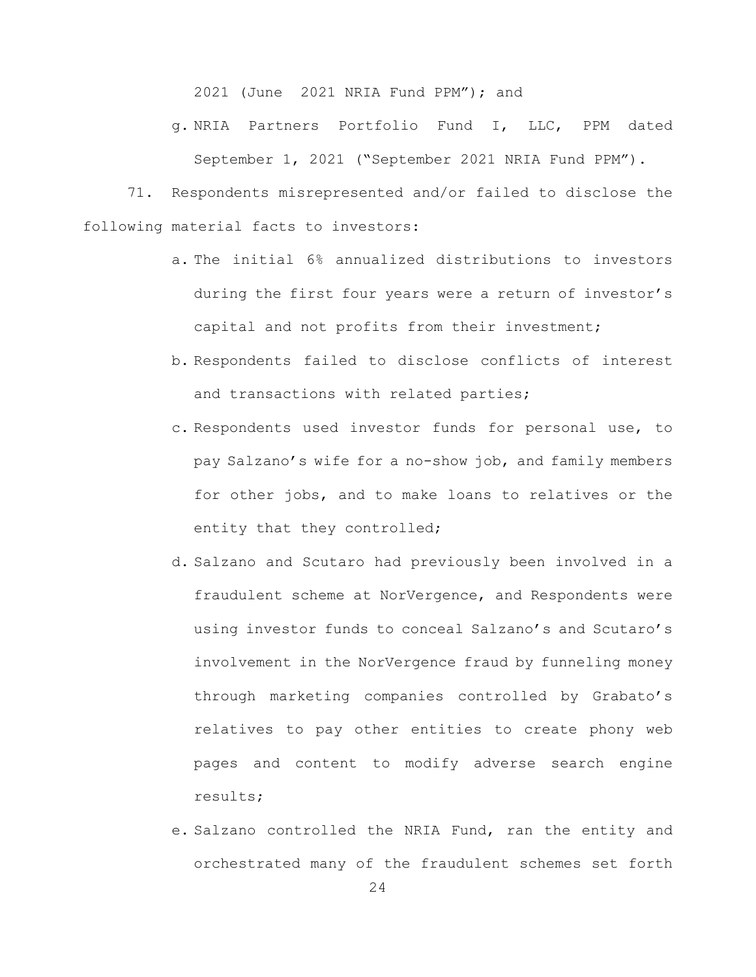2021 (June 2021 NRIA Fund PPM"); and

g. NRIA Partners Portfolio Fund I, LLC, PPM dated September 1, 2021 ("September 2021 NRIA Fund PPM").

71. Respondents misrepresented and/or failed to disclose the following material facts to investors:

- a. The initial 6% annualized distributions to investors during the first four years were a return of investor's capital and not profits from their investment;
- b. Respondents failed to disclose conflicts of interest and transactions with related parties;
- c. Respondents used investor funds for personal use, to pay Salzano's wife for a no-show job, and family members for other jobs, and to make loans to relatives or the entity that they controlled;
- d. Salzano and Scutaro had previously been involved in a fraudulent scheme at NorVergence, and Respondents were using investor funds to conceal Salzano's and Scutaro's involvement in the NorVergence fraud by funneling money through marketing companies controlled by Grabato's relatives to pay other entities to create phony web pages and content to modify adverse search engine results;
- e. Salzano controlled the NRIA Fund, ran the entity and orchestrated many of the fraudulent schemes set forth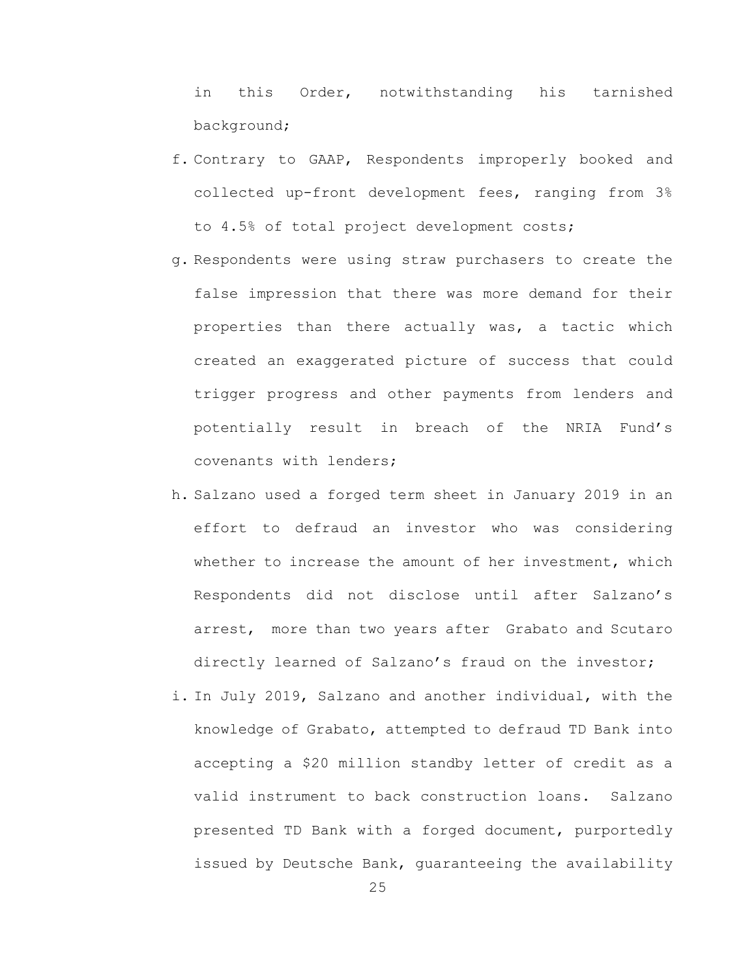in this Order, notwithstanding his tarnished background;

- f. Contrary to GAAP, Respondents improperly booked and collected up-front development fees, ranging from 3% to 4.5% of total project development costs;
- g. Respondents were using straw purchasers to create the false impression that there was more demand for their properties than there actually was, a tactic which created an exaggerated picture of success that could trigger progress and other payments from lenders and potentially result in breach of the NRIA Fund's covenants with lenders;
- h. Salzano used a forged term sheet in January 2019 in an effort to defraud an investor who was considering whether to increase the amount of her investment, which Respondents did not disclose until after Salzano's arrest, more than two years after Grabato and Scutaro directly learned of Salzano's fraud on the investor;
- i. In July 2019, Salzano and another individual, with the knowledge of Grabato, attempted to defraud TD Bank into accepting a \$20 million standby letter of credit as a valid instrument to back construction loans. Salzano presented TD Bank with a forged document, purportedly issued by Deutsche Bank, guaranteeing the availability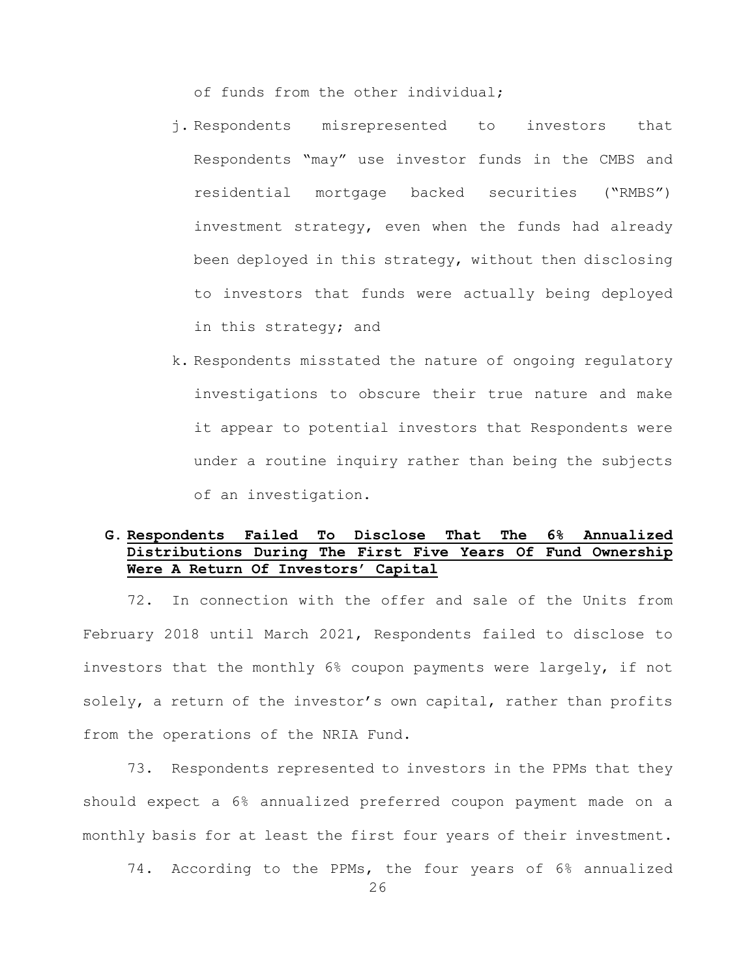of funds from the other individual;

- j. Respondents misrepresented to investors that Respondents "may" use investor funds in the CMBS and residential mortgage backed securities ("RMBS") investment strategy, even when the funds had already been deployed in this strategy, without then disclosing to investors that funds were actually being deployed in this strategy; and
- k. Respondents misstated the nature of ongoing regulatory investigations to obscure their true nature and make it appear to potential investors that Respondents were under a routine inquiry rather than being the subjects of an investigation.

# **G. Respondents Failed To Disclose That The 6% Annualized Distributions During The First Five Years Of Fund Ownership Were A Return Of Investors' Capital**

72. In connection with the offer and sale of the Units from February 2018 until March 2021, Respondents failed to disclose to investors that the monthly 6% coupon payments were largely, if not solely, a return of the investor's own capital, rather than profits from the operations of the NRIA Fund.

73. Respondents represented to investors in the PPMs that they should expect a 6% annualized preferred coupon payment made on a monthly basis for at least the first four years of their investment.

74. According to the PPMs, the four years of 6% annualized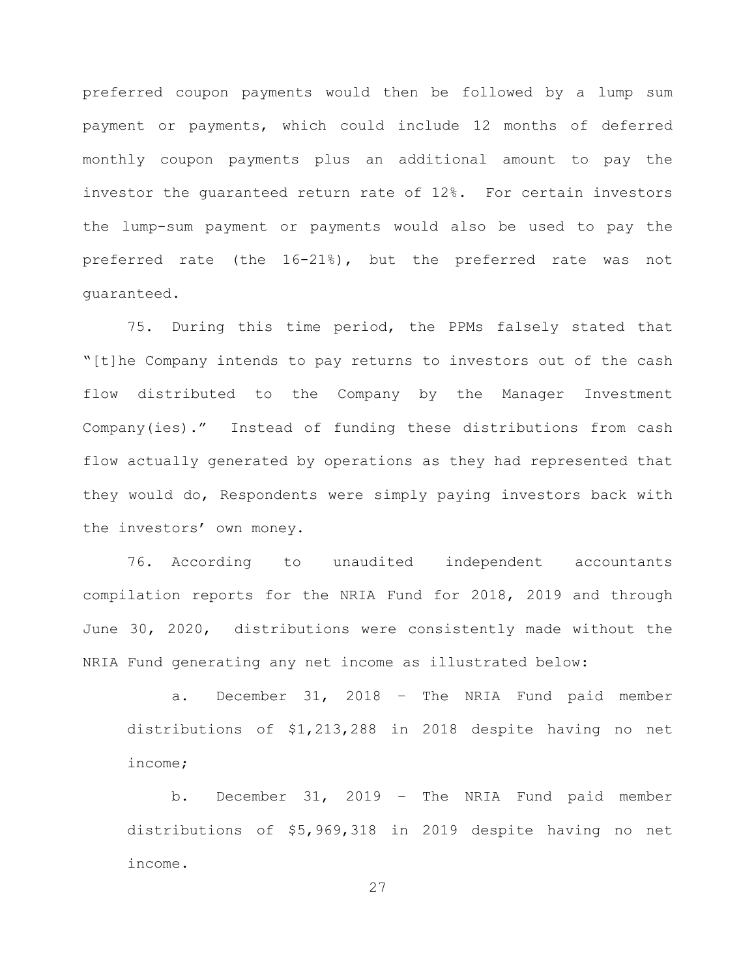preferred coupon payments would then be followed by a lump sum payment or payments, which could include 12 months of deferred monthly coupon payments plus an additional amount to pay the investor the guaranteed return rate of 12%. For certain investors the lump-sum payment or payments would also be used to pay the preferred rate (the 16-21%), but the preferred rate was not guaranteed.

75. During this time period, the PPMs falsely stated that "[t]he Company intends to pay returns to investors out of the cash flow distributed to the Company by the Manager Investment Company(ies)." Instead of funding these distributions from cash flow actually generated by operations as they had represented that they would do, Respondents were simply paying investors back with the investors' own money.

76. According to unaudited independent accountants compilation reports for the NRIA Fund for 2018, 2019 and through June 30, 2020, distributions were consistently made without the NRIA Fund generating any net income as illustrated below:

a. December 31, 2018 – The NRIA Fund paid member distributions of \$1,213,288 in 2018 despite having no net income;

b. December 31, 2019 – The NRIA Fund paid member distributions of \$5,969,318 in 2019 despite having no net income.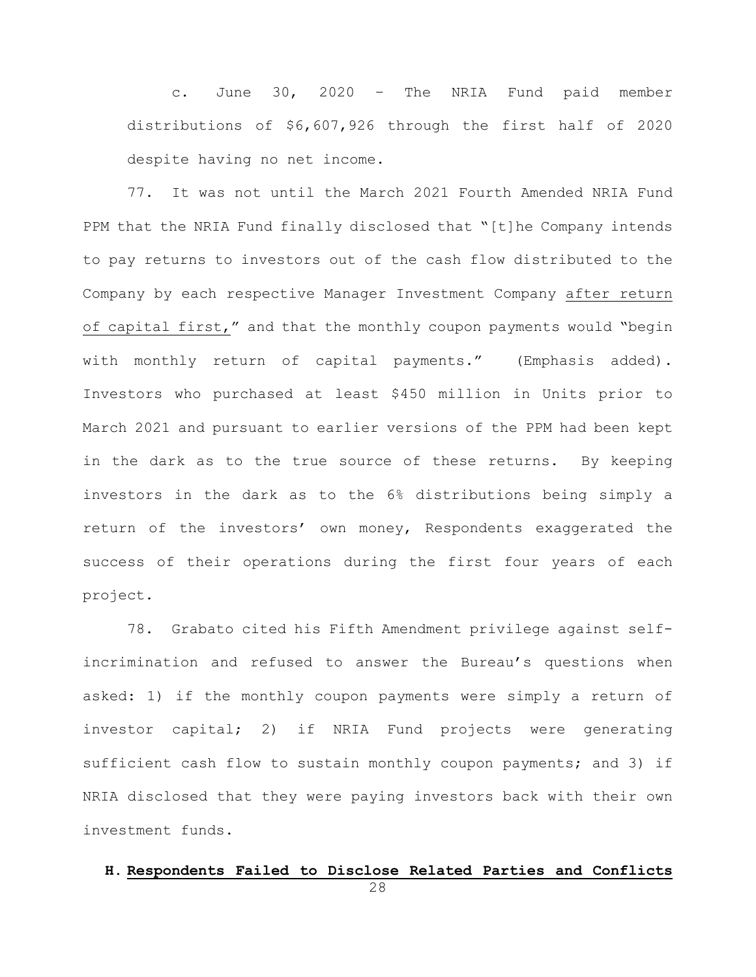c. June 30, 2020 – The NRIA Fund paid member distributions of \$6,607,926 through the first half of 2020 despite having no net income.

77. It was not until the March 2021 Fourth Amended NRIA Fund PPM that the NRIA Fund finally disclosed that "[t]he Company intends to pay returns to investors out of the cash flow distributed to the Company by each respective Manager Investment Company after return of capital first," and that the monthly coupon payments would "begin with monthly return of capital payments." (Emphasis added). Investors who purchased at least \$450 million in Units prior to March 2021 and pursuant to earlier versions of the PPM had been kept in the dark as to the true source of these returns. By keeping investors in the dark as to the 6% distributions being simply a return of the investors' own money, Respondents exaggerated the success of their operations during the first four years of each project.

78. Grabato cited his Fifth Amendment privilege against selfincrimination and refused to answer the Bureau's questions when asked: 1) if the monthly coupon payments were simply a return of investor capital; 2) if NRIA Fund projects were generating sufficient cash flow to sustain monthly coupon payments; and 3) if NRIA disclosed that they were paying investors back with their own investment funds.

### **H. Respondents Failed to Disclose Related Parties and Conflicts**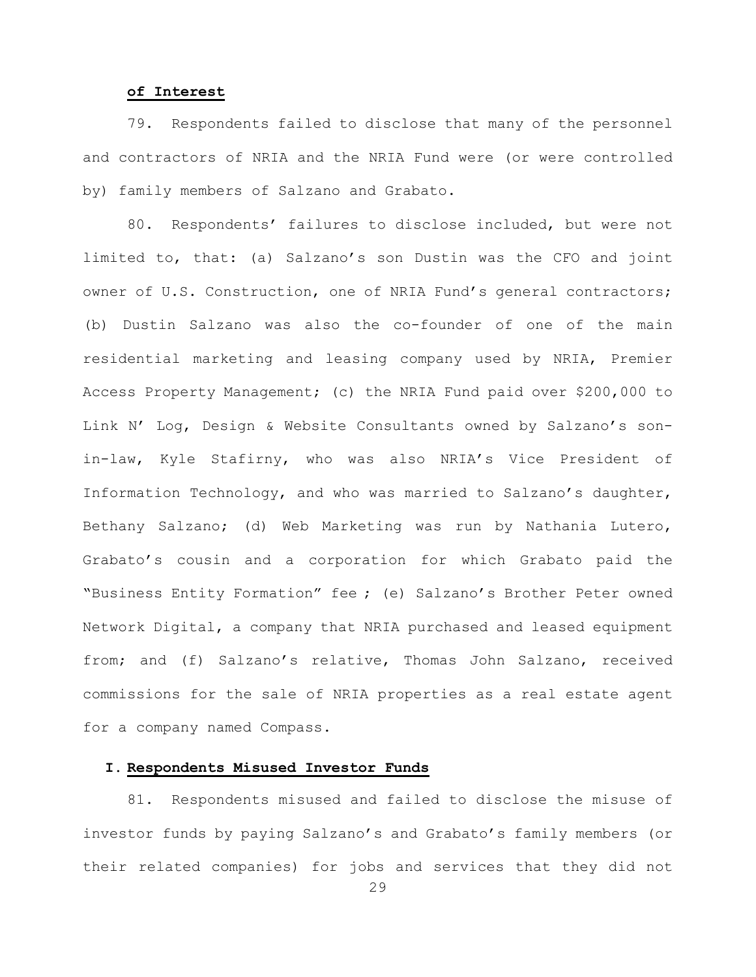#### **of Interest**

79. Respondents failed to disclose that many of the personnel and contractors of NRIA and the NRIA Fund were (or were controlled by) family members of Salzano and Grabato.

80. Respondents' failures to disclose included, but were not limited to, that: (a) Salzano's son Dustin was the CFO and joint owner of U.S. Construction, one of NRIA Fund's general contractors; (b) Dustin Salzano was also the co-founder of one of the main residential marketing and leasing company used by NRIA, Premier Access Property Management; (c) the NRIA Fund paid over \$200,000 to Link N' Log, Design & Website Consultants owned by Salzano's sonin-law, Kyle Stafirny, who was also NRIA's Vice President of Information Technology, and who was married to Salzano's daughter, Bethany Salzano; (d) Web Marketing was run by Nathania Lutero, Grabato's cousin and a corporation for which Grabato paid the "Business Entity Formation" fee ; (e) Salzano's Brother Peter owned Network Digital, a company that NRIA purchased and leased equipment from; and (f) Salzano's relative, Thomas John Salzano, received commissions for the sale of NRIA properties as a real estate agent for a company named Compass.

### **I. Respondents Misused Investor Funds**

81. Respondents misused and failed to disclose the misuse of investor funds by paying Salzano's and Grabato's family members (or their related companies) for jobs and services that they did not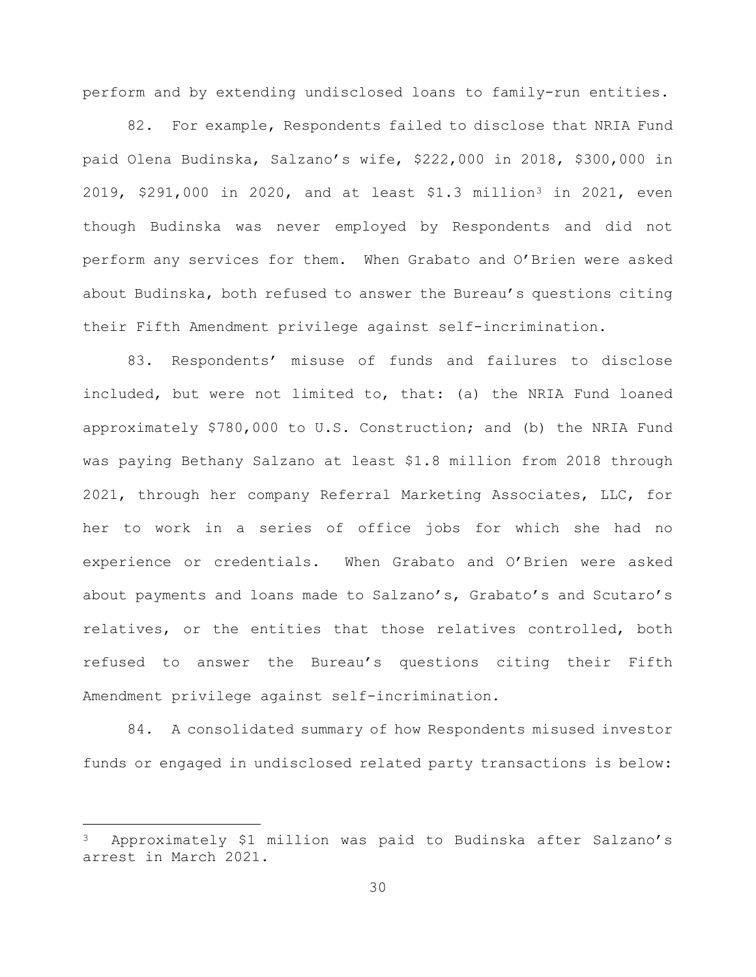perform and by extending undisclosed loans to family-run entities.

82. For example, Respondents failed to disclose that NRIA Fund paid Olena Budinska, Salzano's wife, \$222,000 in 2018, \$300,000 in 2019, \$291,000 in 2020, and at least \$1.[3](#page-29-0) million<sup>3</sup> in 2021, even though Budinska was never employed by Respondents and did not perform any services for them. When Grabato and O'Brien were asked about Budinska, both refused to answer the Bureau's questions citing their Fifth Amendment privilege against self-incrimination.

83. Respondents' misuse of funds and failures to disclose included, but were not limited to, that: (a) the NRIA Fund loaned approximately \$780,000 to U.S. Construction; and (b) the NRIA Fund was paying Bethany Salzano at least \$1.8 million from 2018 through 2021, through her company Referral Marketing Associates, LLC, for her to work in a series of office jobs for which she had no experience or credentials. When Grabato and O'Brien were asked about payments and loans made to Salzano's, Grabato's and Scutaro's relatives, or the entities that those relatives controlled, both refused to answer the Bureau's questions citing their Fifth Amendment privilege against self-incrimination.

84. A consolidated summary of how Respondents misused investor funds or engaged in undisclosed related party transactions is below:

—

<span id="page-29-0"></span><sup>3</sup> Approximately \$1 million was paid to Budinska after Salzano's arrest in March 2021.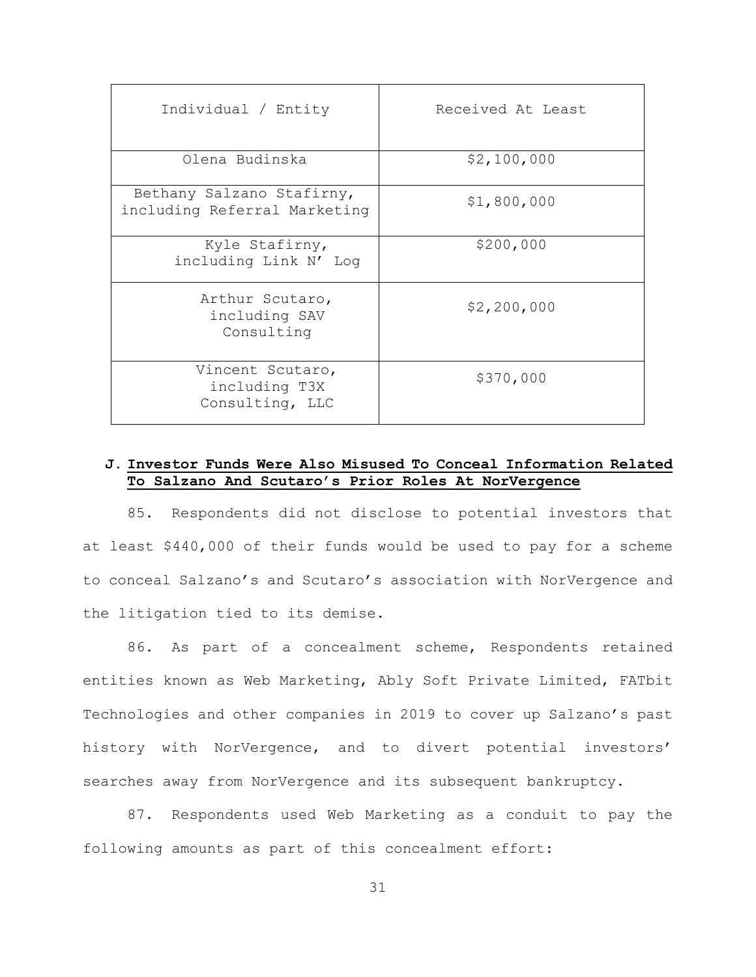| Individual / Entity                                       | Received At Least |
|-----------------------------------------------------------|-------------------|
| Olena Budinska                                            | \$2,100,000       |
| Bethany Salzano Stafirny,<br>including Referral Marketing | \$1,800,000       |
| Kyle Stafirny,<br>including Link N' Log                   | \$200,000         |
| Arthur Scutaro,<br>including SAV<br>Consulting            | \$2,200,000       |
| Vincent Scutaro,<br>including T3X<br>Consulting, LLC      | \$370,000         |

## **J. Investor Funds Were Also Misused To Conceal Information Related To Salzano And Scutaro's Prior Roles At NorVergence**

85. Respondents did not disclose to potential investors that at least \$440,000 of their funds would be used to pay for a scheme to conceal Salzano's and Scutaro's association with NorVergence and the litigation tied to its demise.

86. As part of a concealment scheme, Respondents retained entities known as Web Marketing, Ably Soft Private Limited, FATbit Technologies and other companies in 2019 to cover up Salzano's past history with NorVergence, and to divert potential investors' searches away from NorVergence and its subsequent bankruptcy.

87. Respondents used Web Marketing as a conduit to pay the following amounts as part of this concealment effort: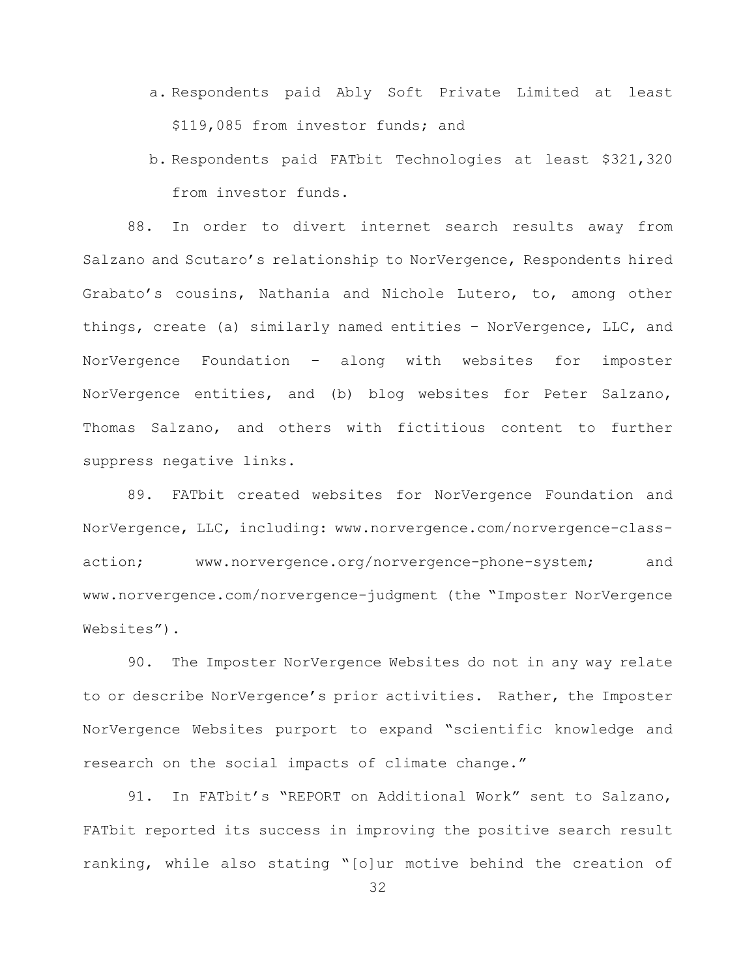- a. Respondents paid Ably Soft Private Limited at least \$119,085 from investor funds; and
- b. Respondents paid FATbit Technologies at least \$321,320 from investor funds.

88. In order to divert internet search results away from Salzano and Scutaro's relationship to NorVergence, Respondents hired Grabato's cousins, Nathania and Nichole Lutero, to, among other things, create (a) similarly named entities – NorVergence, LLC, and NorVergence Foundation – along with websites for imposter NorVergence entities, and (b) blog websites for Peter Salzano, Thomas Salzano, and others with fictitious content to further suppress negative links.

89. FATbit created websites for NorVergence Foundation and NorVergence, LLC, including: www.norvergence.com/norvergence-classaction; www.norvergence.org/norvergence-phone-system; and www.norvergence.com/norvergence-judgment (the "Imposter NorVergence Websites").

90. The Imposter NorVergence Websites do not in any way relate to or describe NorVergence's prior activities. Rather, the Imposter NorVergence Websites purport to expand "scientific knowledge and research on the social impacts of climate change."

91. In FATbit's "REPORT on Additional Work" sent to Salzano, FATbit reported its success in improving the positive search result ranking, while also stating "[o]ur motive behind the creation of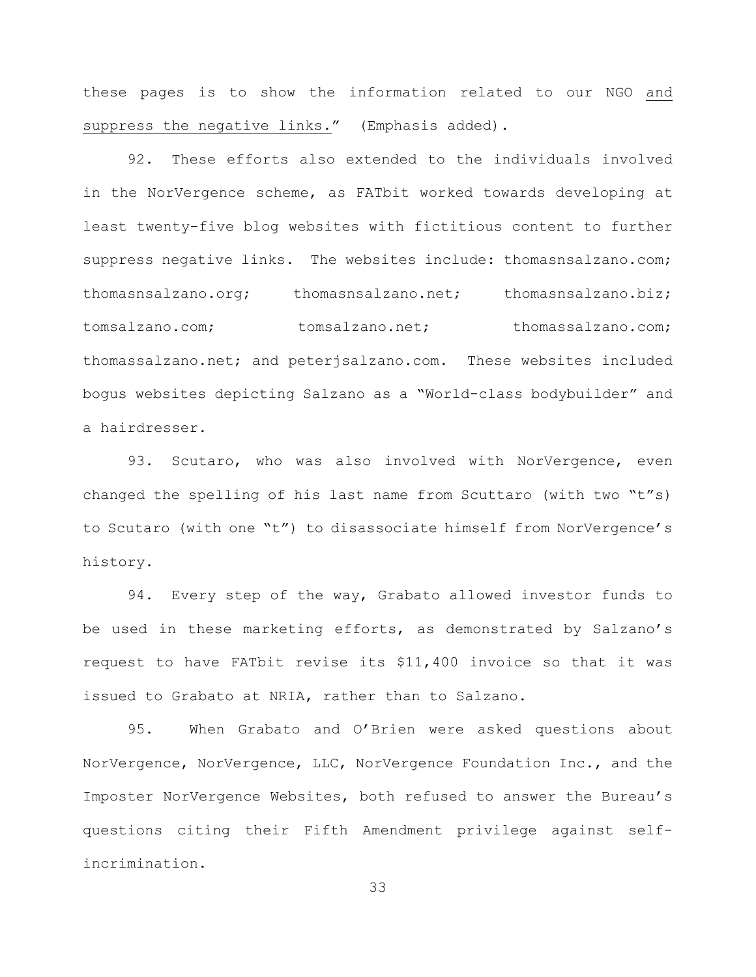these pages is to show the information related to our NGO and suppress the negative links." (Emphasis added).

92. These efforts also extended to the individuals involved in the NorVergence scheme, as FATbit worked towards developing at least twenty-five blog websites with fictitious content to further suppress negative links. The websites include: thomasnsalzano.com; thomasnsalzano.org; thomasnsalzano.net; thomasnsalzano.biz; tomsalzano.com; tomsalzano.net; thomassalzano.com; thomassalzano.net; and peterjsalzano.com. These websites included bogus websites depicting Salzano as a "World-class bodybuilder" and a hairdresser.

93. Scutaro, who was also involved with NorVergence, even changed the spelling of his last name from Scuttaro (with two "t"s) to Scutaro (with one "t") to disassociate himself from NorVergence's history.

94. Every step of the way, Grabato allowed investor funds to be used in these marketing efforts, as demonstrated by Salzano's request to have FATbit revise its \$11,400 invoice so that it was issued to Grabato at NRIA, rather than to Salzano.

95. When Grabato and O'Brien were asked questions about NorVergence, NorVergence, LLC, NorVergence Foundation Inc., and the Imposter NorVergence Websites, both refused to answer the Bureau's questions citing their Fifth Amendment privilege against selfincrimination.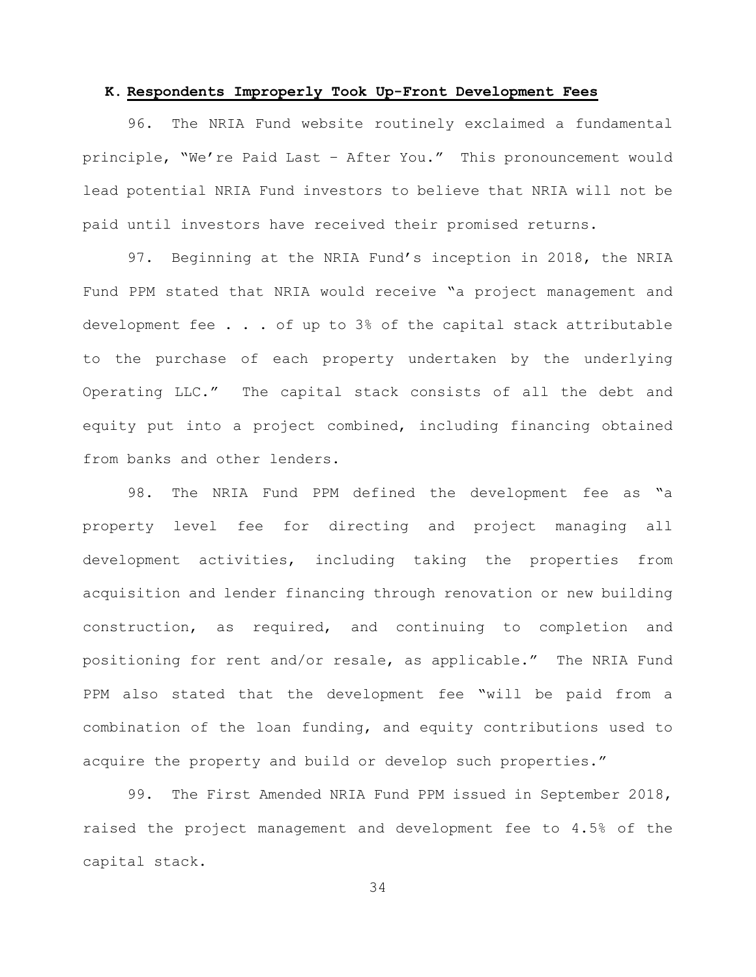#### **K. Respondents Improperly Took Up-Front Development Fees**

96. The NRIA Fund website routinely exclaimed a fundamental principle, "We're Paid Last – After You." This pronouncement would lead potential NRIA Fund investors to believe that NRIA will not be paid until investors have received their promised returns.

97. Beginning at the NRIA Fund's inception in 2018, the NRIA Fund PPM stated that NRIA would receive "a project management and development fee . . . of up to 3% of the capital stack attributable to the purchase of each property undertaken by the underlying Operating LLC." The capital stack consists of all the debt and equity put into a project combined, including financing obtained from banks and other lenders.

98. The NRIA Fund PPM defined the development fee as "a property level fee for directing and project managing all development activities, including taking the properties from acquisition and lender financing through renovation or new building construction, as required, and continuing to completion and positioning for rent and/or resale, as applicable." The NRIA Fund PPM also stated that the development fee "will be paid from a combination of the loan funding, and equity contributions used to acquire the property and build or develop such properties."

99. The First Amended NRIA Fund PPM issued in September 2018, raised the project management and development fee to 4.5% of the capital stack.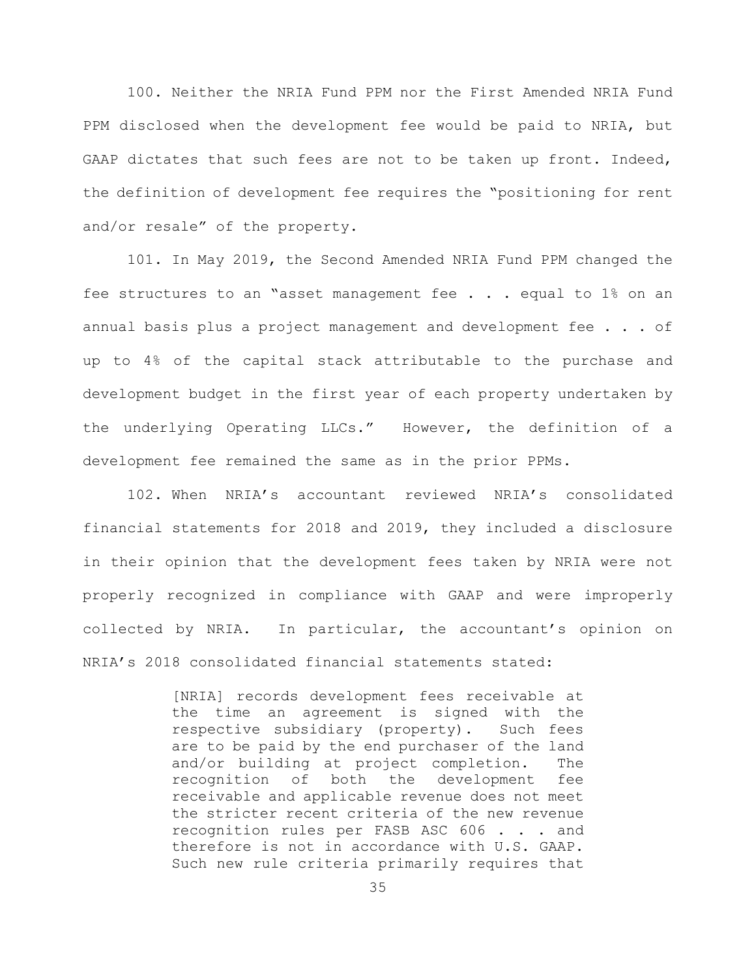100. Neither the NRIA Fund PPM nor the First Amended NRIA Fund PPM disclosed when the development fee would be paid to NRIA, but GAAP dictates that such fees are not to be taken up front. Indeed, the definition of development fee requires the "positioning for rent and/or resale" of the property.

101. In May 2019, the Second Amended NRIA Fund PPM changed the fee structures to an "asset management fee . . . equal to 1% on an annual basis plus a project management and development fee . . . of up to 4% of the capital stack attributable to the purchase and development budget in the first year of each property undertaken by the underlying Operating LLCs." However, the definition of a development fee remained the same as in the prior PPMs.

102. When NRIA's accountant reviewed NRIA's consolidated financial statements for 2018 and 2019, they included a disclosure in their opinion that the development fees taken by NRIA were not properly recognized in compliance with GAAP and were improperly collected by NRIA. In particular, the accountant's opinion on NRIA's 2018 consolidated financial statements stated:

> [NRIA] records development fees receivable at the time an agreement is signed with the respective subsidiary (property). Such fees are to be paid by the end purchaser of the land and/or building at project completion. The recognition of both the development fee receivable and applicable revenue does not meet the stricter recent criteria of the new revenue recognition rules per FASB ASC 606 . . . and therefore is not in accordance with U.S. GAAP. Such new rule criteria primarily requires that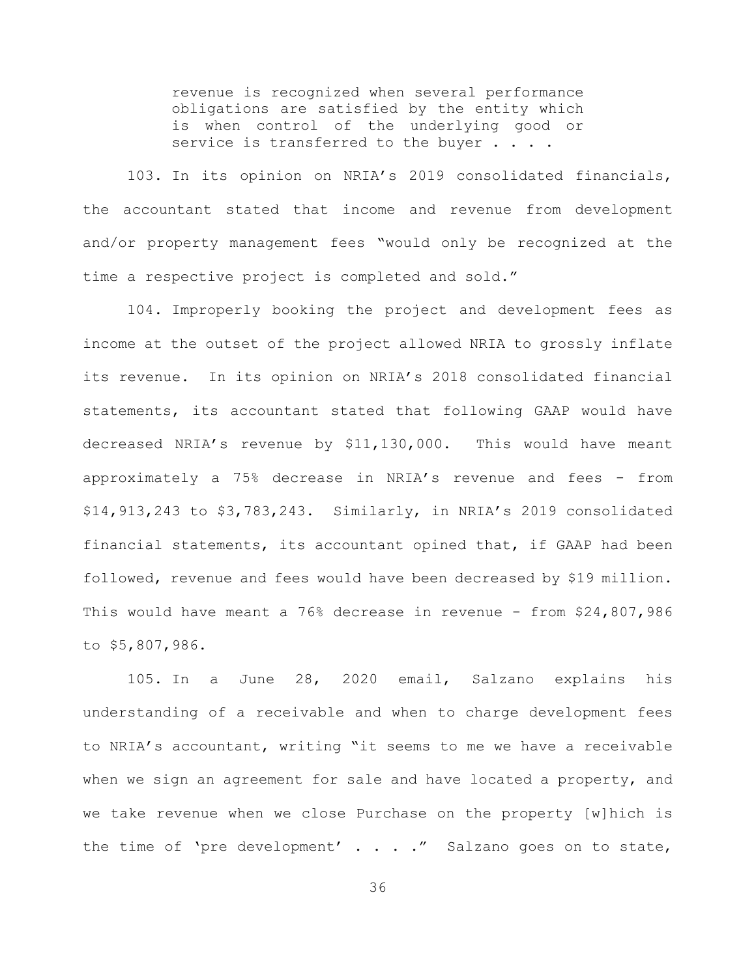revenue is recognized when several performance obligations are satisfied by the entity which is when control of the underlying good or service is transferred to the buyer . . . .

103. In its opinion on NRIA's 2019 consolidated financials, the accountant stated that income and revenue from development and/or property management fees "would only be recognized at the time a respective project is completed and sold."

104. Improperly booking the project and development fees as income at the outset of the project allowed NRIA to grossly inflate its revenue. In its opinion on NRIA's 2018 consolidated financial statements, its accountant stated that following GAAP would have decreased NRIA's revenue by \$11,130,000. This would have meant approximately a 75% decrease in NRIA's revenue and fees - from \$14,913,243 to \$3,783,243. Similarly, in NRIA's 2019 consolidated financial statements, its accountant opined that, if GAAP had been followed, revenue and fees would have been decreased by \$19 million. This would have meant a 76% decrease in revenue - from \$24,807,986 to \$5,807,986.

105. In a June 28, 2020 email, Salzano explains his understanding of a receivable and when to charge development fees to NRIA's accountant, writing "it seems to me we have a receivable when we sign an agreement for sale and have located a property, and we take revenue when we close Purchase on the property [w]hich is the time of 'pre development' . . . ." Salzano goes on to state,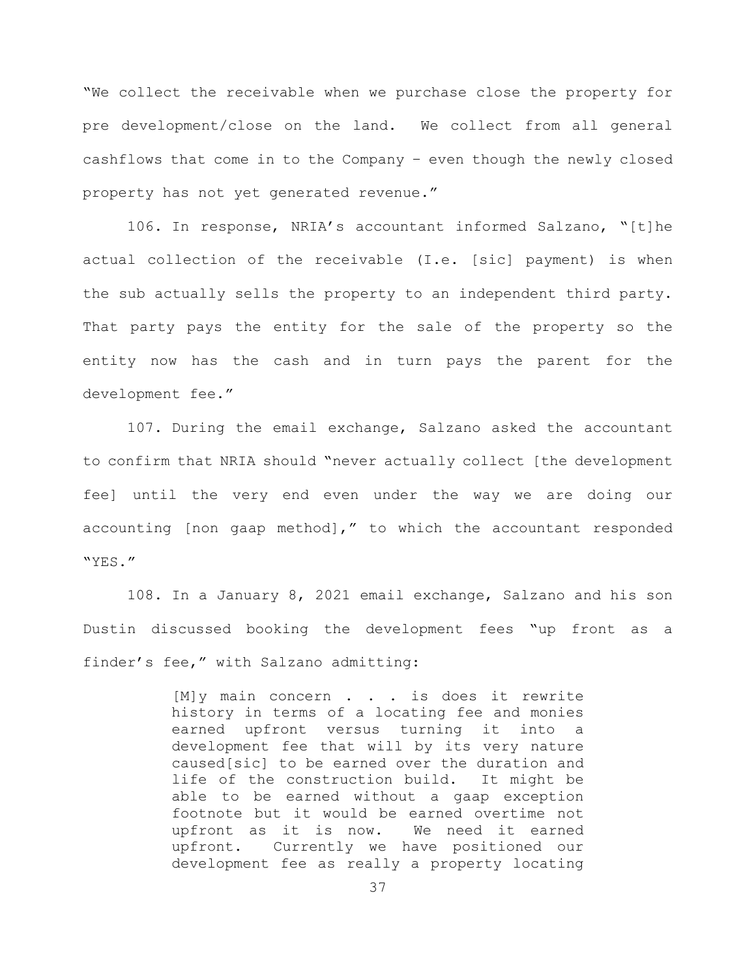"We collect the receivable when we purchase close the property for pre development/close on the land. We collect from all general cashflows that come in to the Company – even though the newly closed property has not yet generated revenue."

106. In response, NRIA's accountant informed Salzano, "[t]he actual collection of the receivable (I.e. [sic] payment) is when the sub actually sells the property to an independent third party. That party pays the entity for the sale of the property so the entity now has the cash and in turn pays the parent for the development fee."

107. During the email exchange, Salzano asked the accountant to confirm that NRIA should "never actually collect [the development fee] until the very end even under the way we are doing our accounting [non gaap method]," to which the accountant responded "YES."

108. In a January 8, 2021 email exchange, Salzano and his son Dustin discussed booking the development fees "up front as a finder's fee," with Salzano admitting:

> [M]y main concern . . . is does it rewrite history in terms of a locating fee and monies earned upfront versus turning it into a development fee that will by its very nature caused[sic] to be earned over the duration and life of the construction build. It might be able to be earned without a gaap exception footnote but it would be earned overtime not upfront as it is now. We need it earned<br>upfront. Currently we have positioned our Currently we have positioned our development fee as really a property locating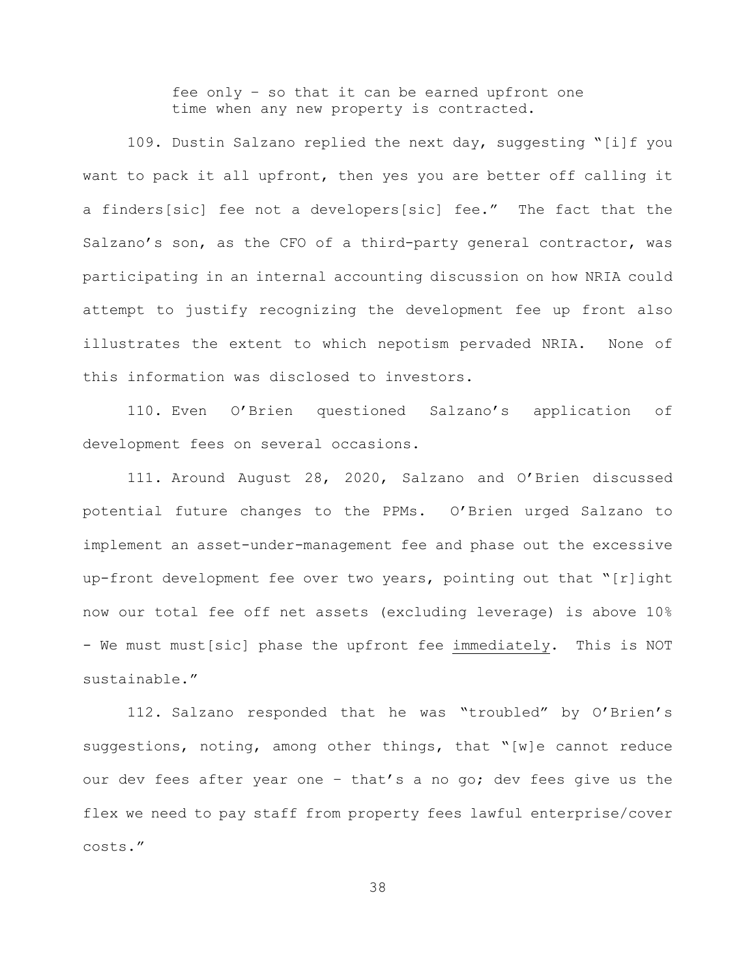fee only – so that it can be earned upfront one time when any new property is contracted.

109. Dustin Salzano replied the next day, suggesting "[i]f you want to pack it all upfront, then yes you are better off calling it a finders[sic] fee not a developers[sic] fee." The fact that the Salzano's son, as the CFO of a third-party general contractor, was participating in an internal accounting discussion on how NRIA could attempt to justify recognizing the development fee up front also illustrates the extent to which nepotism pervaded NRIA. None of this information was disclosed to investors.

110. Even O'Brien questioned Salzano's application of development fees on several occasions.

111. Around August 28, 2020, Salzano and O'Brien discussed potential future changes to the PPMs. O'Brien urged Salzano to implement an asset-under-management fee and phase out the excessive up-front development fee over two years, pointing out that "[r]ight now our total fee off net assets (excluding leverage) is above 10% - We must must[sic] phase the upfront fee immediately. This is NOT sustainable."

112. Salzano responded that he was "troubled" by O'Brien's suggestions, noting, among other things, that "[w]e cannot reduce our dev fees after year one – that's a no go; dev fees give us the flex we need to pay staff from property fees lawful enterprise/cover costs."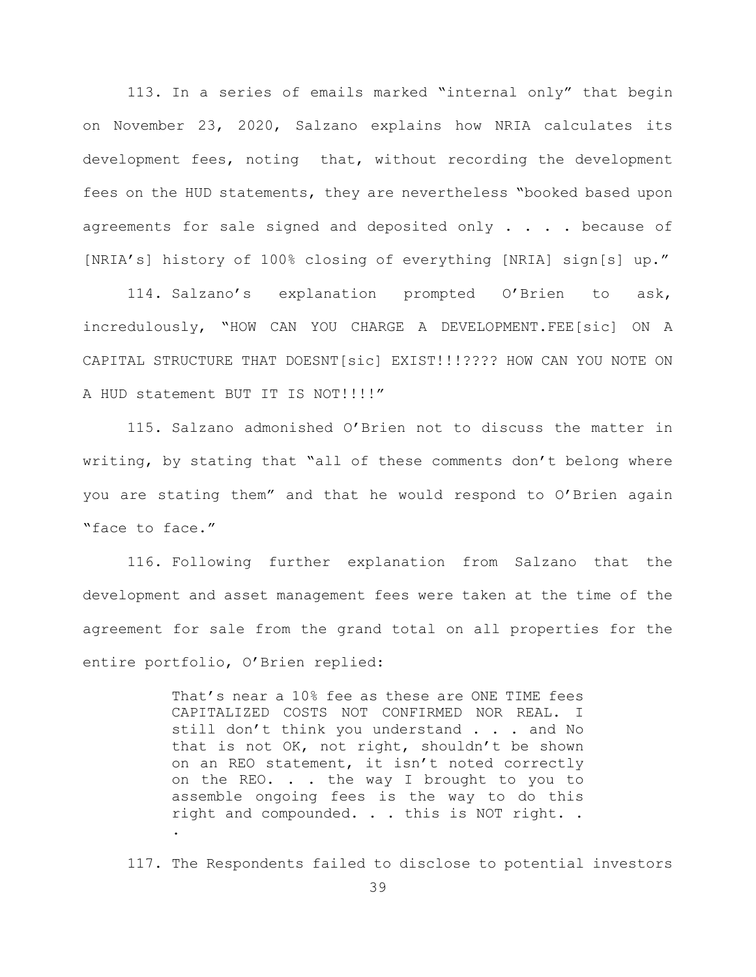113. In a series of emails marked "internal only" that begin on November 23, 2020, Salzano explains how NRIA calculates its development fees, noting that, without recording the development fees on the HUD statements, they are nevertheless "booked based upon agreements for sale signed and deposited only . . . . because of [NRIA's] history of 100% closing of everything [NRIA] sign[s] up."

114. Salzano's explanation prompted O'Brien to ask, incredulously, "HOW CAN YOU CHARGE A DEVELOPMENT.FEE[sic] ON A CAPITAL STRUCTURE THAT DOESNT[sic] EXIST!!!???? HOW CAN YOU NOTE ON A HUD statement BUT IT IS NOT!!!!"

115. Salzano admonished O'Brien not to discuss the matter in writing, by stating that "all of these comments don't belong where you are stating them" and that he would respond to O'Brien again "face to face."

116. Following further explanation from Salzano that the development and asset management fees were taken at the time of the agreement for sale from the grand total on all properties for the entire portfolio, O'Brien replied:

> That's near a 10% fee as these are ONE TIME fees CAPITALIZED COSTS NOT CONFIRMED NOR REAL. I still don't think you understand . . . and No that is not OK, not right, shouldn't be shown on an REO statement, it isn't noted correctly on the REO. . . the way I brought to you to assemble ongoing fees is the way to do this right and compounded. . . this is NOT right. . .

117. The Respondents failed to disclose to potential investors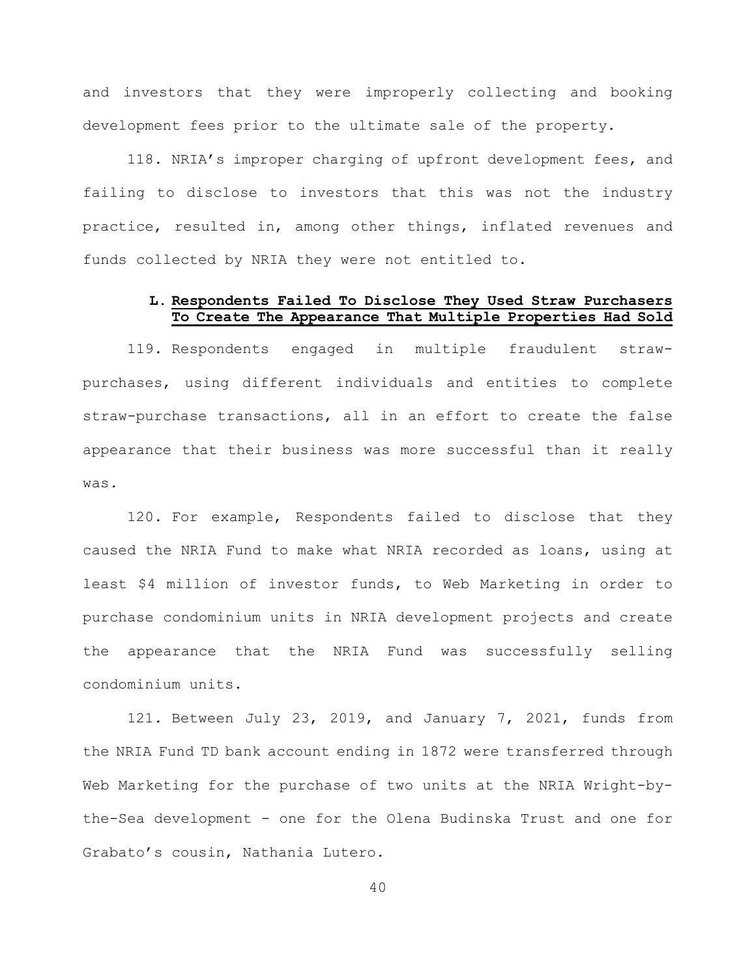and investors that they were improperly collecting and booking development fees prior to the ultimate sale of the property.

118. NRIA's improper charging of upfront development fees, and failing to disclose to investors that this was not the industry practice, resulted in, among other things, inflated revenues and funds collected by NRIA they were not entitled to.

## **L. Respondents Failed To Disclose They Used Straw Purchasers To Create The Appearance That Multiple Properties Had Sold**

119. Respondents engaged in multiple fraudulent strawpurchases, using different individuals and entities to complete straw-purchase transactions, all in an effort to create the false appearance that their business was more successful than it really was.

120. For example, Respondents failed to disclose that they caused the NRIA Fund to make what NRIA recorded as loans, using at least \$4 million of investor funds, to Web Marketing in order to purchase condominium units in NRIA development projects and create the appearance that the NRIA Fund was successfully selling condominium units.

121. Between July 23, 2019, and January 7, 2021, funds from the NRIA Fund TD bank account ending in 1872 were transferred through Web Marketing for the purchase of two units at the NRIA Wright-bythe-Sea development - one for the Olena Budinska Trust and one for Grabato's cousin, Nathania Lutero.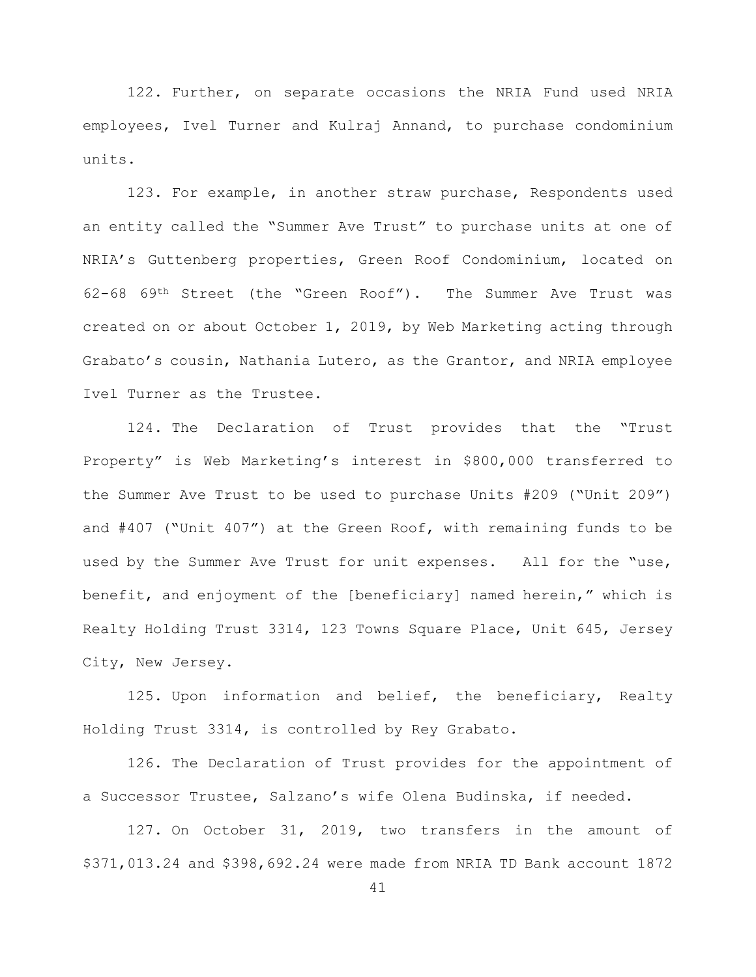122. Further, on separate occasions the NRIA Fund used NRIA employees, Ivel Turner and Kulraj Annand, to purchase condominium units.

123. For example, in another straw purchase, Respondents used an entity called the "Summer Ave Trust" to purchase units at one of NRIA's Guttenberg properties, Green Roof Condominium, located on 62-68 69th Street (the "Green Roof"). The Summer Ave Trust was created on or about October 1, 2019, by Web Marketing acting through Grabato's cousin, Nathania Lutero, as the Grantor, and NRIA employee Ivel Turner as the Trustee.

124. The Declaration of Trust provides that the "Trust Property" is Web Marketing's interest in \$800,000 transferred to the Summer Ave Trust to be used to purchase Units #209 ("Unit 209") and #407 ("Unit 407") at the Green Roof, with remaining funds to be used by the Summer Ave Trust for unit expenses. All for the "use, benefit, and enjoyment of the [beneficiary] named herein," which is Realty Holding Trust 3314, 123 Towns Square Place, Unit 645, Jersey City, New Jersey.

125. Upon information and belief, the beneficiary, Realty Holding Trust 3314, is controlled by Rey Grabato.

126. The Declaration of Trust provides for the appointment of a Successor Trustee, Salzano's wife Olena Budinska, if needed.

127. On October 31, 2019, two transfers in the amount of \$371,013.24 and \$398,692.24 were made from NRIA TD Bank account 1872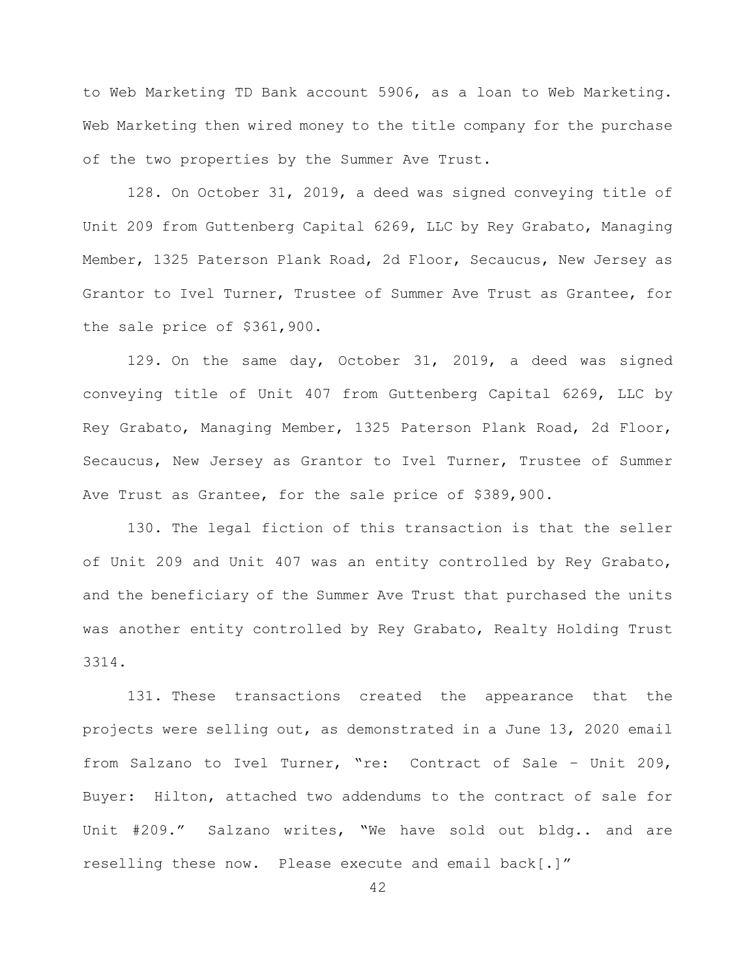to Web Marketing TD Bank account 5906, as a loan to Web Marketing. Web Marketing then wired money to the title company for the purchase of the two properties by the Summer Ave Trust.

128. On October 31, 2019, a deed was signed conveying title of Unit 209 from Guttenberg Capital 6269, LLC by Rey Grabato, Managing Member, 1325 Paterson Plank Road, 2d Floor, Secaucus, New Jersey as Grantor to Ivel Turner, Trustee of Summer Ave Trust as Grantee, for the sale price of \$361,900.

129. On the same day, October 31, 2019, a deed was signed conveying title of Unit 407 from Guttenberg Capital 6269, LLC by Rey Grabato, Managing Member, 1325 Paterson Plank Road, 2d Floor, Secaucus, New Jersey as Grantor to Ivel Turner, Trustee of Summer Ave Trust as Grantee, for the sale price of \$389,900.

130. The legal fiction of this transaction is that the seller of Unit 209 and Unit 407 was an entity controlled by Rey Grabato, and the beneficiary of the Summer Ave Trust that purchased the units was another entity controlled by Rey Grabato, Realty Holding Trust 3314.

131. These transactions created the appearance that the projects were selling out, as demonstrated in a June 13, 2020 email from Salzano to Ivel Turner, "re: Contract of Sale – Unit 209, Buyer: Hilton, attached two addendums to the contract of sale for Unit #209." Salzano writes, "We have sold out bldg.. and are reselling these now. Please execute and email back[.]"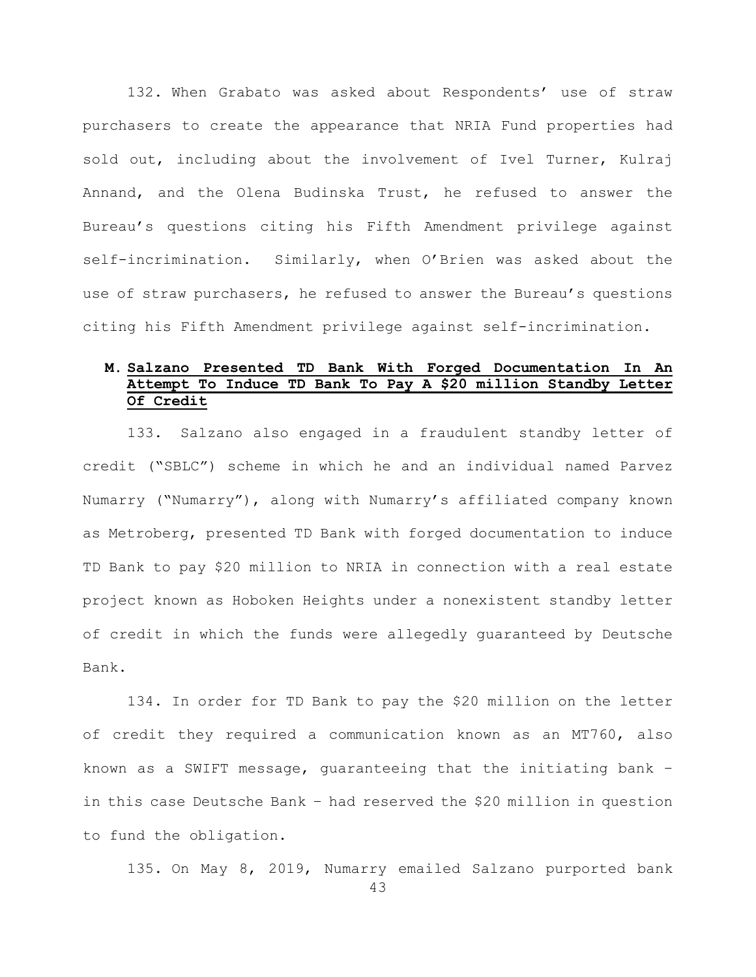132. When Grabato was asked about Respondents' use of straw purchasers to create the appearance that NRIA Fund properties had sold out, including about the involvement of Ivel Turner, Kulraj Annand, and the Olena Budinska Trust, he refused to answer the Bureau's questions citing his Fifth Amendment privilege against self-incrimination. Similarly, when O'Brien was asked about the use of straw purchasers, he refused to answer the Bureau's questions citing his Fifth Amendment privilege against self-incrimination.

# **M. Salzano Presented TD Bank With Forged Documentation In An Attempt To Induce TD Bank To Pay A \$20 million Standby Letter Of Credit**

133. Salzano also engaged in a fraudulent standby letter of credit ("SBLC") scheme in which he and an individual named Parvez Numarry ("Numarry"), along with Numarry's affiliated company known as Metroberg, presented TD Bank with forged documentation to induce TD Bank to pay \$20 million to NRIA in connection with a real estate project known as Hoboken Heights under a nonexistent standby letter of credit in which the funds were allegedly guaranteed by Deutsche Bank.

134. In order for TD Bank to pay the \$20 million on the letter of credit they required a communication known as an MT760, also known as a SWIFT message, guaranteeing that the initiating bank – in this case Deutsche Bank – had reserved the \$20 million in question to fund the obligation.

135. On May 8, 2019, Numarry emailed Salzano purported bank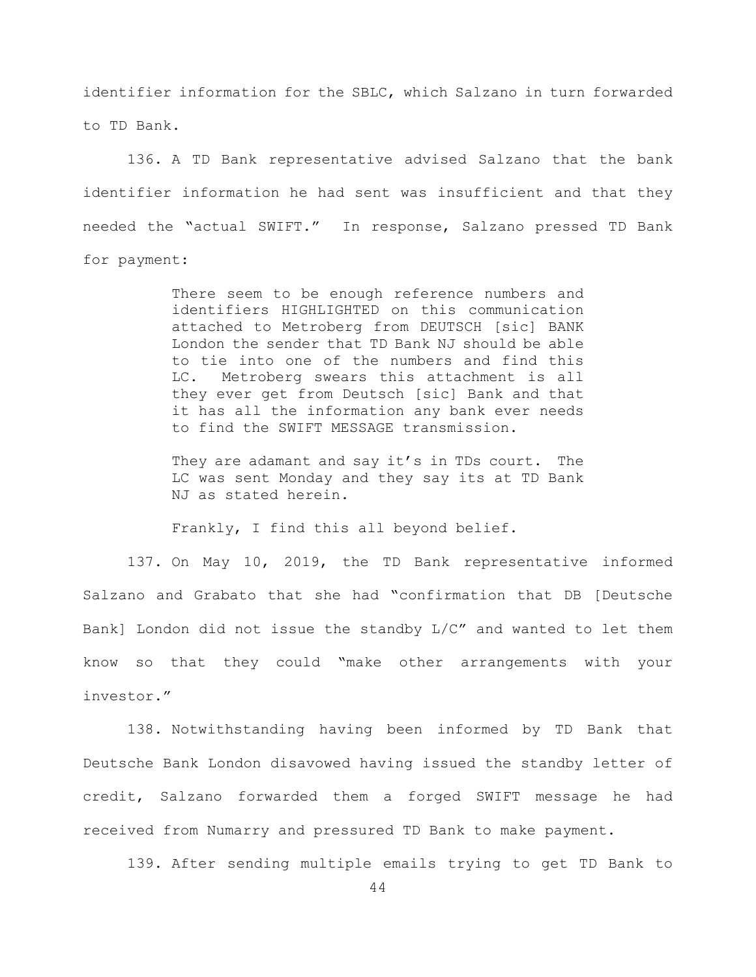identifier information for the SBLC, which Salzano in turn forwarded to TD Bank.

136. A TD Bank representative advised Salzano that the bank identifier information he had sent was insufficient and that they needed the "actual SWIFT." In response, Salzano pressed TD Bank for payment:

> There seem to be enough reference numbers and identifiers HIGHLIGHTED on this communication attached to Metroberg from DEUTSCH [sic] BANK London the sender that TD Bank NJ should be able to tie into one of the numbers and find this LC. Metroberg swears this attachment is all they ever get from Deutsch [sic] Bank and that it has all the information any bank ever needs to find the SWIFT MESSAGE transmission.

> They are adamant and say it's in TDs court. The LC was sent Monday and they say its at TD Bank NJ as stated herein.

Frankly, I find this all beyond belief.

137. On May 10, 2019, the TD Bank representative informed Salzano and Grabato that she had "confirmation that DB [Deutsche Bank] London did not issue the standby L/C" and wanted to let them know so that they could "make other arrangements with your investor."

138. Notwithstanding having been informed by TD Bank that Deutsche Bank London disavowed having issued the standby letter of credit, Salzano forwarded them a forged SWIFT message he had received from Numarry and pressured TD Bank to make payment.

139. After sending multiple emails trying to get TD Bank to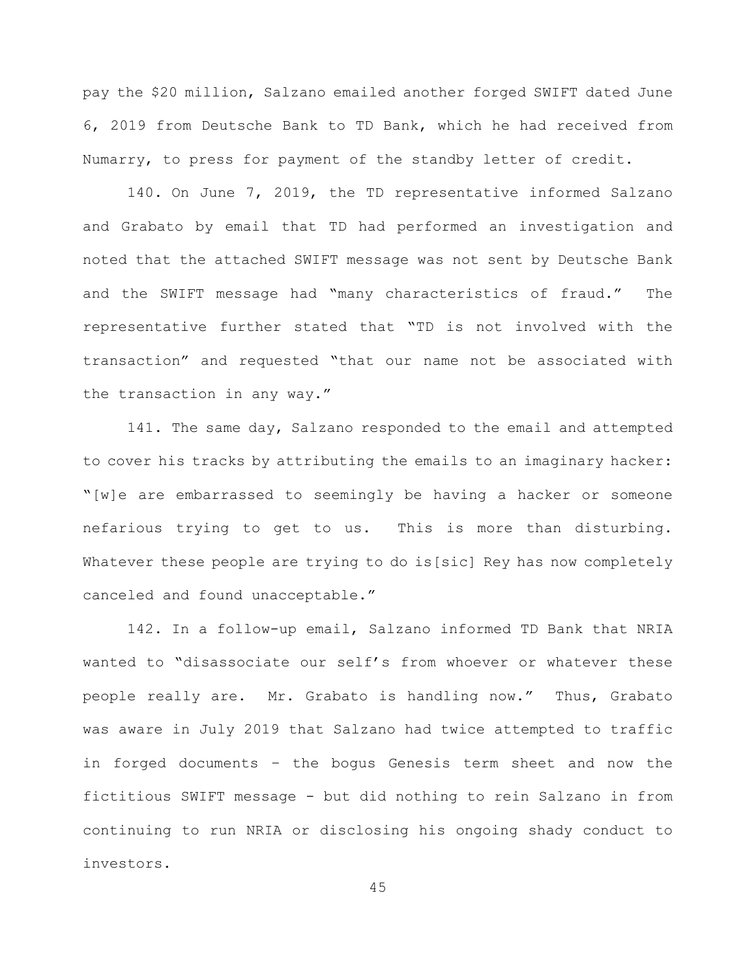pay the \$20 million, Salzano emailed another forged SWIFT dated June 6, 2019 from Deutsche Bank to TD Bank, which he had received from Numarry, to press for payment of the standby letter of credit.

140. On June 7, 2019, the TD representative informed Salzano and Grabato by email that TD had performed an investigation and noted that the attached SWIFT message was not sent by Deutsche Bank and the SWIFT message had "many characteristics of fraud." The representative further stated that "TD is not involved with the transaction" and requested "that our name not be associated with the transaction in any way."

141. The same day, Salzano responded to the email and attempted to cover his tracks by attributing the emails to an imaginary hacker: "[w]e are embarrassed to seemingly be having a hacker or someone nefarious trying to get to us. This is more than disturbing. Whatever these people are trying to do is[sic] Rey has now completely canceled and found unacceptable."

142. In a follow-up email, Salzano informed TD Bank that NRIA wanted to "disassociate our self's from whoever or whatever these people really are. Mr. Grabato is handling now." Thus, Grabato was aware in July 2019 that Salzano had twice attempted to traffic in forged documents – the bogus Genesis term sheet and now the fictitious SWIFT message - but did nothing to rein Salzano in from continuing to run NRIA or disclosing his ongoing shady conduct to investors.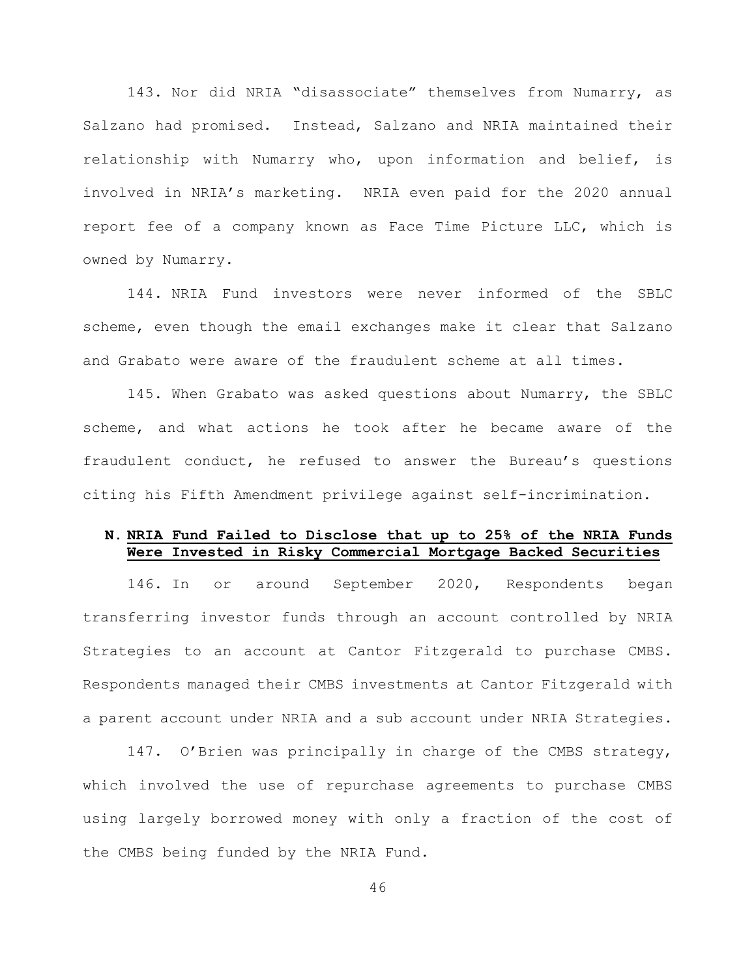143. Nor did NRIA "disassociate" themselves from Numarry, as Salzano had promised. Instead, Salzano and NRIA maintained their relationship with Numarry who, upon information and belief, is involved in NRIA's marketing. NRIA even paid for the 2020 annual report fee of a company known as Face Time Picture LLC, which is owned by Numarry.

144. NRIA Fund investors were never informed of the SBLC scheme, even though the email exchanges make it clear that Salzano and Grabato were aware of the fraudulent scheme at all times.

145. When Grabato was asked questions about Numarry, the SBLC scheme, and what actions he took after he became aware of the fraudulent conduct, he refused to answer the Bureau's questions citing his Fifth Amendment privilege against self-incrimination.

### **N. NRIA Fund Failed to Disclose that up to 25% of the NRIA Funds Were Invested in Risky Commercial Mortgage Backed Securities**

146. In or around September 2020, Respondents began transferring investor funds through an account controlled by NRIA Strategies to an account at Cantor Fitzgerald to purchase CMBS. Respondents managed their CMBS investments at Cantor Fitzgerald with a parent account under NRIA and a sub account under NRIA Strategies.

147. O'Brien was principally in charge of the CMBS strategy, which involved the use of repurchase agreements to purchase CMBS using largely borrowed money with only a fraction of the cost of the CMBS being funded by the NRIA Fund.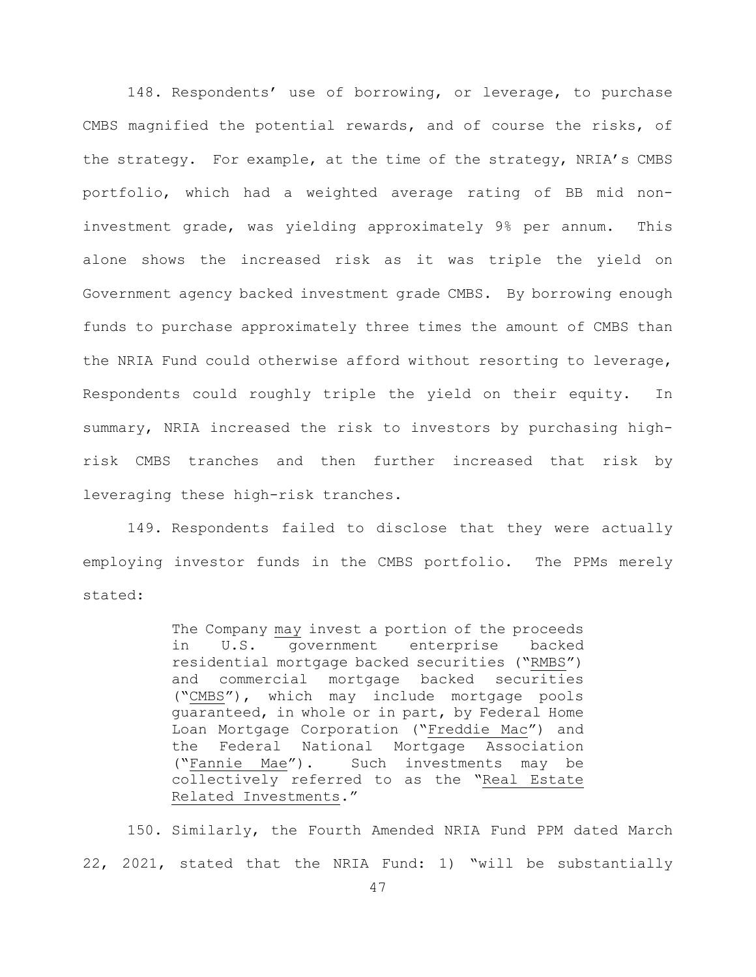148. Respondents' use of borrowing, or leverage, to purchase CMBS magnified the potential rewards, and of course the risks, of the strategy. For example, at the time of the strategy, NRIA's CMBS portfolio, which had a weighted average rating of BB mid noninvestment grade, was yielding approximately 9% per annum. This alone shows the increased risk as it was triple the yield on Government agency backed investment grade CMBS. By borrowing enough funds to purchase approximately three times the amount of CMBS than the NRIA Fund could otherwise afford without resorting to leverage, Respondents could roughly triple the yield on their equity. In summary, NRIA increased the risk to investors by purchasing highrisk CMBS tranches and then further increased that risk by leveraging these high-risk tranches.

149. Respondents failed to disclose that they were actually employing investor funds in the CMBS portfolio. The PPMs merely stated:

> The Company may invest a portion of the proceeds<br>in U.S. government enterprise backed U.S. government enterprise backed residential mortgage backed securities ("RMBS") and commercial mortgage backed securities ("CMBS"), which may include mortgage pools guaranteed, in whole or in part, by Federal Home Loan Mortgage Corporation ("Freddie Mac") and the Federal National Mortgage Association<br>("Fannie Mae"). Such investments may be Such investments may be collectively referred to as the "Real Estate Related Investments."

150. Similarly, the Fourth Amended NRIA Fund PPM dated March 22, 2021, stated that the NRIA Fund: 1) "will be substantially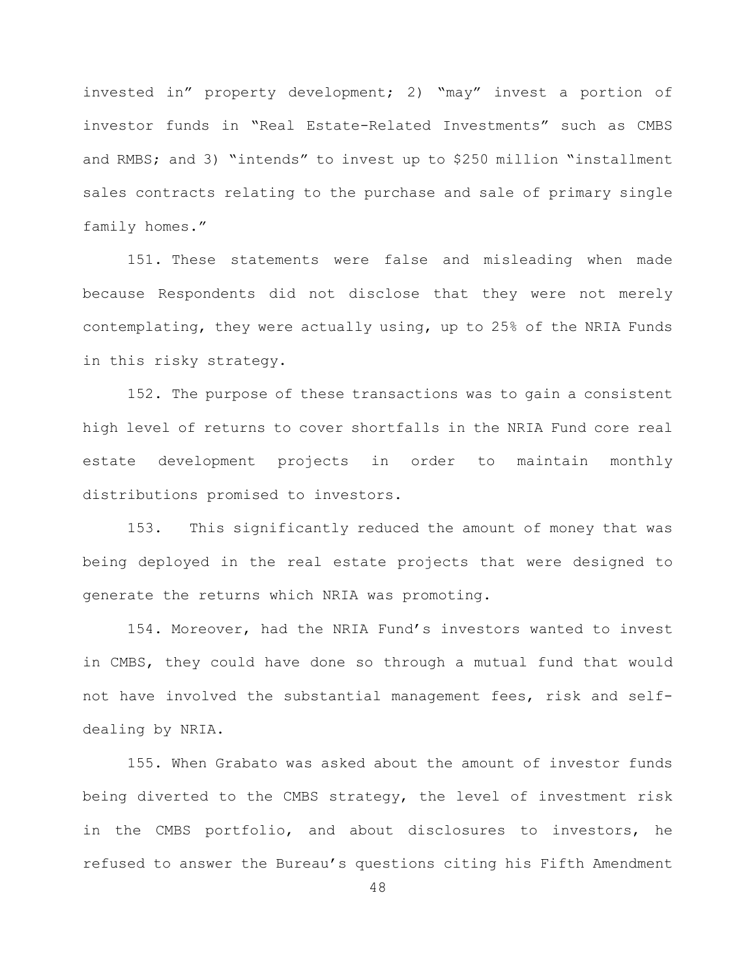invested in" property development; 2) "may" invest a portion of investor funds in "Real Estate-Related Investments" such as CMBS and RMBS; and 3) "intends" to invest up to \$250 million "installment sales contracts relating to the purchase and sale of primary single family homes."

151. These statements were false and misleading when made because Respondents did not disclose that they were not merely contemplating, they were actually using, up to 25% of the NRIA Funds in this risky strategy.

152. The purpose of these transactions was to gain a consistent high level of returns to cover shortfalls in the NRIA Fund core real estate development projects in order to maintain monthly distributions promised to investors.

153. This significantly reduced the amount of money that was being deployed in the real estate projects that were designed to generate the returns which NRIA was promoting.

154. Moreover, had the NRIA Fund's investors wanted to invest in CMBS, they could have done so through a mutual fund that would not have involved the substantial management fees, risk and selfdealing by NRIA.

155. When Grabato was asked about the amount of investor funds being diverted to the CMBS strategy, the level of investment risk in the CMBS portfolio, and about disclosures to investors, he refused to answer the Bureau's questions citing his Fifth Amendment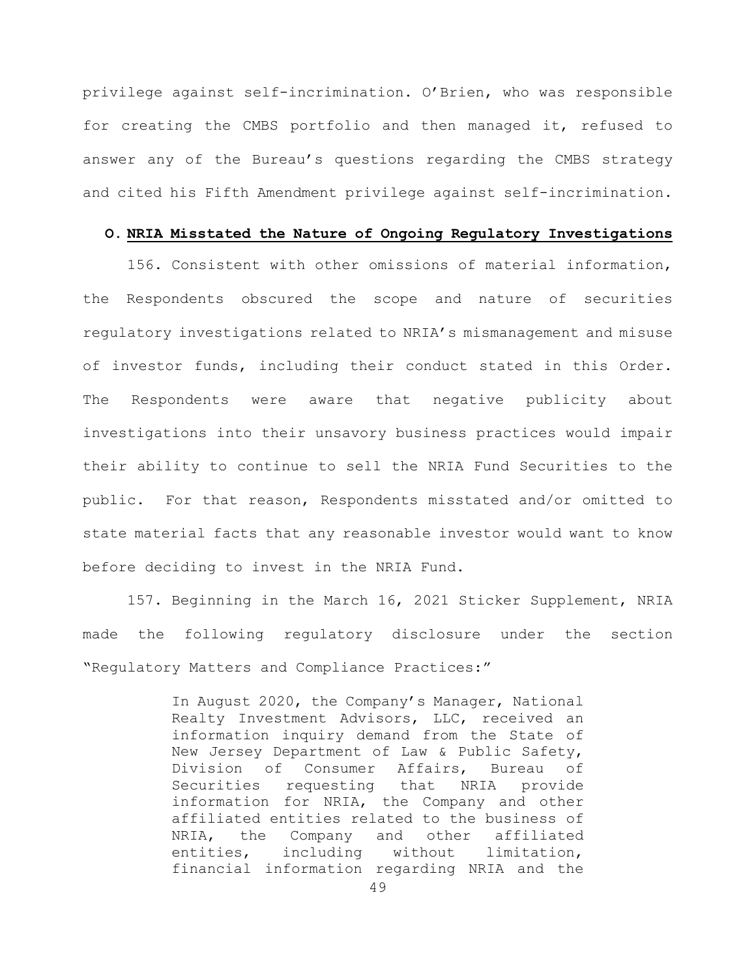privilege against self-incrimination. O'Brien, who was responsible for creating the CMBS portfolio and then managed it, refused to answer any of the Bureau's questions regarding the CMBS strategy and cited his Fifth Amendment privilege against self-incrimination.

#### **O. NRIA Misstated the Nature of Ongoing Regulatory Investigations**

156. Consistent with other omissions of material information, the Respondents obscured the scope and nature of securities regulatory investigations related to NRIA's mismanagement and misuse of investor funds, including their conduct stated in this Order. The Respondents were aware that negative publicity about investigations into their unsavory business practices would impair their ability to continue to sell the NRIA Fund Securities to the public. For that reason, Respondents misstated and/or omitted to state material facts that any reasonable investor would want to know before deciding to invest in the NRIA Fund.

157. Beginning in the March 16, 2021 Sticker Supplement, NRIA made the following regulatory disclosure under the section "Regulatory Matters and Compliance Practices:"

> In August 2020, the Company's Manager, National Realty Investment Advisors, LLC, received an information inquiry demand from the State of New Jersey Department of Law & Public Safety, Division of Consumer Affairs, Bureau of<br>Securities requesting that NRIA provide Securities requesting that NRIA information for NRIA, the Company and other affiliated entities related to the business of NRIA, the Company and other affiliated<br>entities, including without limitation, entities, including without limitation, financial information regarding NRIA and the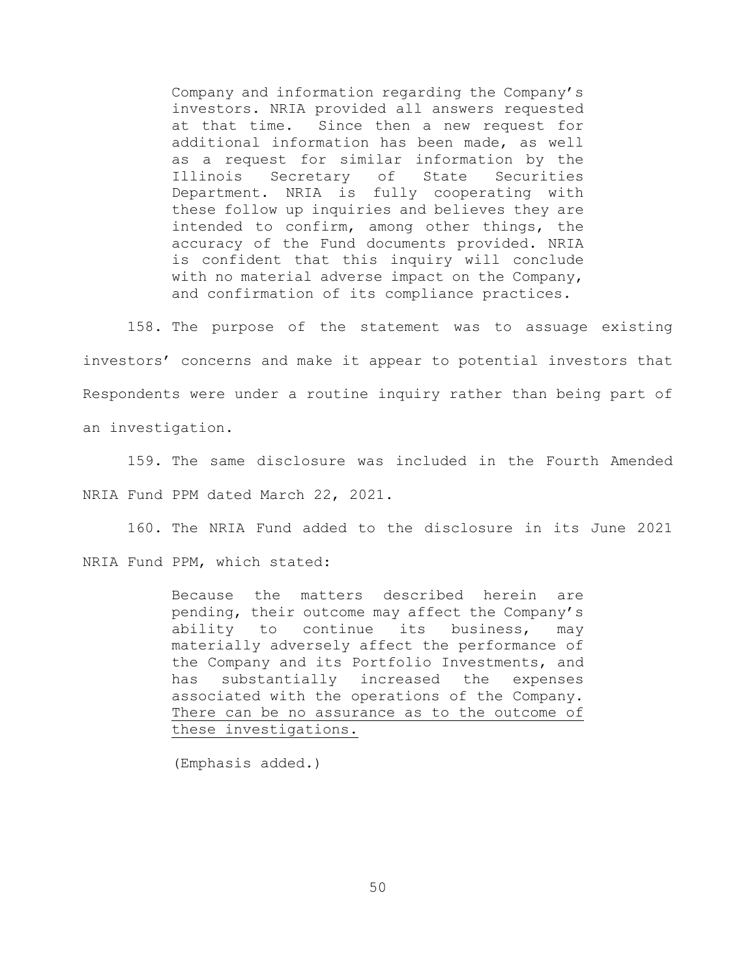Company and information regarding the Company's investors. NRIA provided all answers requested at that time. Since then a new request for additional information has been made, as well as a request for similar information by the<br>Illinois Secretary of State Securities Secretary Department. NRIA is fully cooperating with these follow up inquiries and believes they are intended to confirm, among other things, the accuracy of the Fund documents provided. NRIA is confident that this inquiry will conclude with no material adverse impact on the Company, and confirmation of its compliance practices.

158. The purpose of the statement was to assuage existing investors' concerns and make it appear to potential investors that Respondents were under a routine inquiry rather than being part of an investigation.

159. The same disclosure was included in the Fourth Amended NRIA Fund PPM dated March 22, 2021.

160. The NRIA Fund added to the disclosure in its June 2021 NRIA Fund PPM, which stated:

> Because the matters described herein are pending, their outcome may affect the Company's ability to continue its business, may materially adversely affect the performance of the Company and its Portfolio Investments, and has substantially increased the expenses associated with the operations of the Company. There can be no assurance as to the outcome of these investigations.

(Emphasis added.)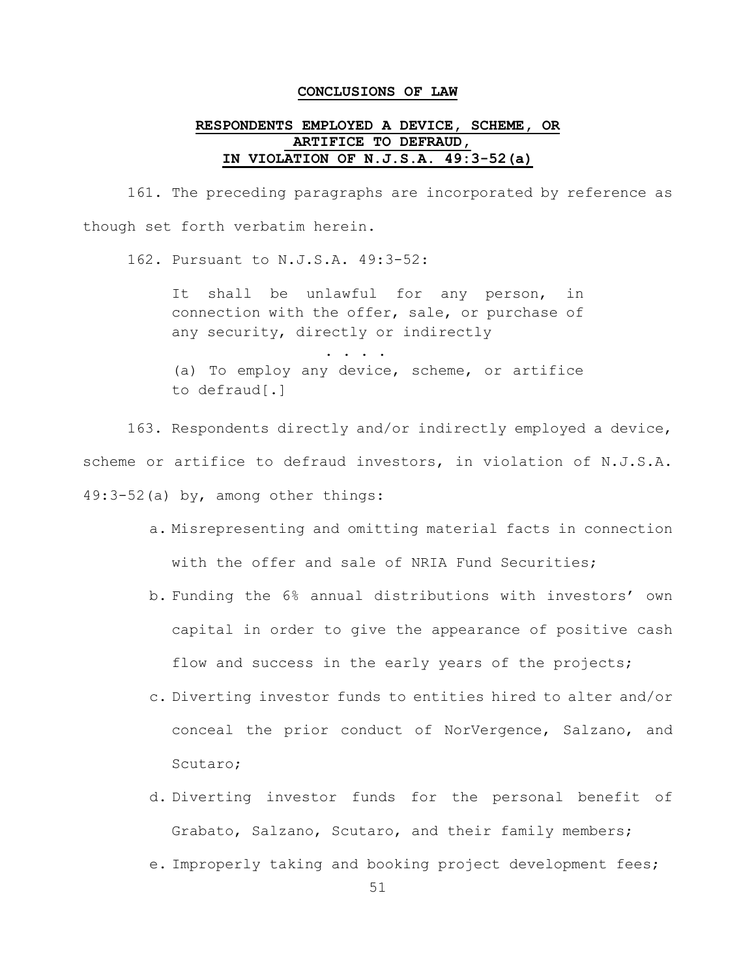#### **CONCLUSIONS OF LAW**

## **RESPONDENTS EMPLOYED A DEVICE, SCHEME, OR ARTIFICE TO DEFRAUD, IN VIOLATION OF N.J.S.A. 49:3-52(a)**

161. The preceding paragraphs are incorporated by reference as though set forth verbatim herein.

162. Pursuant to N.J.S.A. 49:3-52:

It shall be unlawful for any person, in connection with the offer, sale, or purchase of any security, directly or indirectly

. . . . . (a) To employ any device, scheme, or artifice to defraud[.]

163. Respondents directly and/or indirectly employed a device, scheme or artifice to defraud investors, in violation of N.J.S.A. 49:3-52(a) by, among other things:

- a. Misrepresenting and omitting material facts in connection with the offer and sale of NRIA Fund Securities;
- b. Funding the 6% annual distributions with investors' own capital in order to give the appearance of positive cash flow and success in the early years of the projects;
- c. Diverting investor funds to entities hired to alter and/or conceal the prior conduct of NorVergence, Salzano, and Scutaro;
- d. Diverting investor funds for the personal benefit of Grabato, Salzano, Scutaro, and their family members;
- e. Improperly taking and booking project development fees;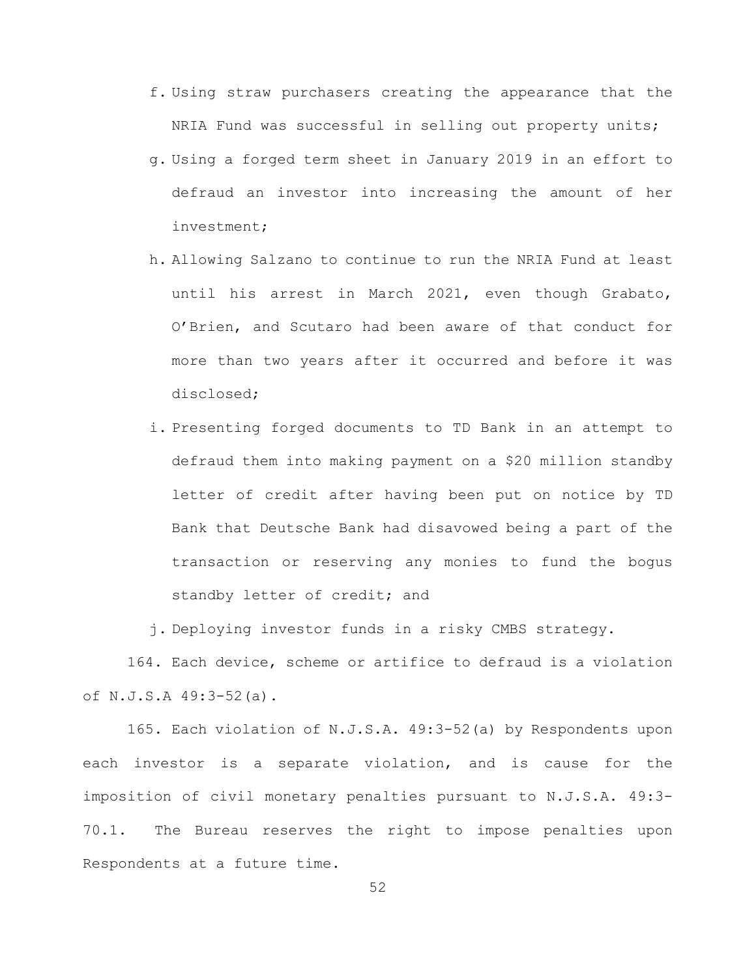- f. Using straw purchasers creating the appearance that the NRIA Fund was successful in selling out property units;
- g. Using a forged term sheet in January 2019 in an effort to defraud an investor into increasing the amount of her investment;
- h. Allowing Salzano to continue to run the NRIA Fund at least until his arrest in March 2021, even though Grabato, O'Brien, and Scutaro had been aware of that conduct for more than two years after it occurred and before it was disclosed;
- i. Presenting forged documents to TD Bank in an attempt to defraud them into making payment on a \$20 million standby letter of credit after having been put on notice by TD Bank that Deutsche Bank had disavowed being a part of the transaction or reserving any monies to fund the bogus standby letter of credit; and

j. Deploying investor funds in a risky CMBS strategy.

164. Each device, scheme or artifice to defraud is a violation of N.J.S.A 49:3-52(a).

165. Each violation of N.J.S.A. 49:3-52(a) by Respondents upon each investor is a separate violation, and is cause for the imposition of civil monetary penalties pursuant to N.J.S.A. 49:3- 70.1. The Bureau reserves the right to impose penalties upon Respondents at a future time.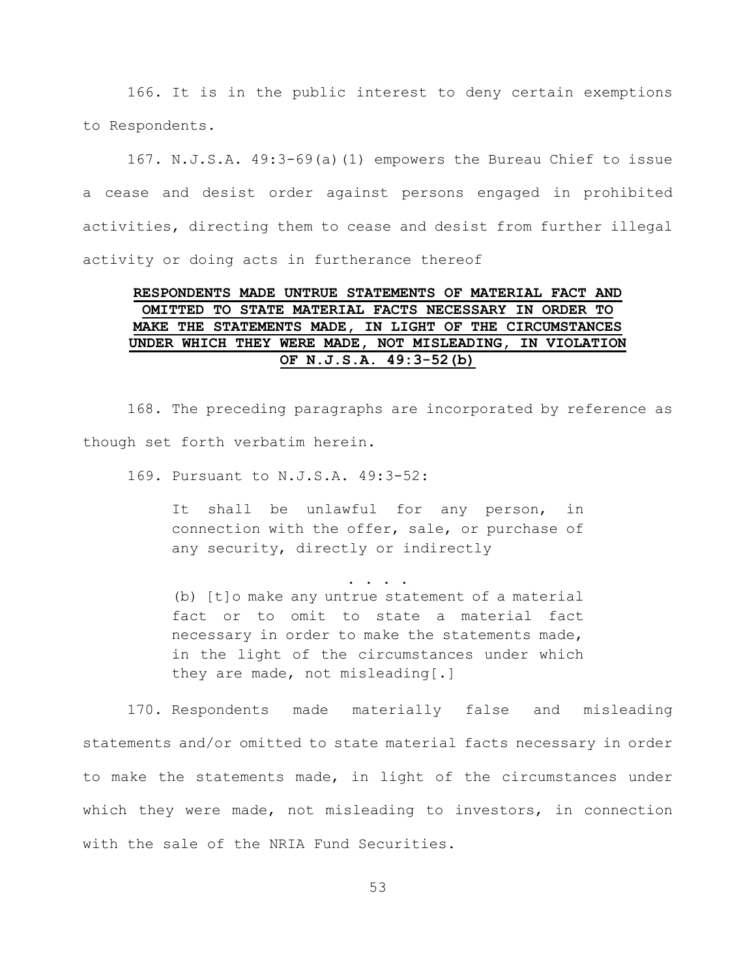166. It is in the public interest to deny certain exemptions to Respondents.

167. N.J.S.A. 49:3-69(a)(1) empowers the Bureau Chief to issue a cease and desist order against persons engaged in prohibited activities, directing them to cease and desist from further illegal activity or doing acts in furtherance thereof

# **RESPONDENTS MADE UNTRUE STATEMENTS OF MATERIAL FACT AND OMITTED TO STATE MATERIAL FACTS NECESSARY IN ORDER TO MAKE THE STATEMENTS MADE, IN LIGHT OF THE CIRCUMSTANCES UNDER WHICH THEY WERE MADE, NOT MISLEADING, IN VIOLATION OF N.J.S.A. 49:3-52(b)**

168. The preceding paragraphs are incorporated by reference as though set forth verbatim herein.

169. Pursuant to N.J.S.A. 49:3-52:

It shall be unlawful for any person, in connection with the offer, sale, or purchase of any security, directly or indirectly

. . . .

(b) [t]o make any untrue statement of a material fact or to omit to state a material fact necessary in order to make the statements made, in the light of the circumstances under which they are made, not misleading [.]

170. Respondents made materially false and misleading statements and/or omitted to state material facts necessary in order to make the statements made, in light of the circumstances under which they were made, not misleading to investors, in connection with the sale of the NRIA Fund Securities.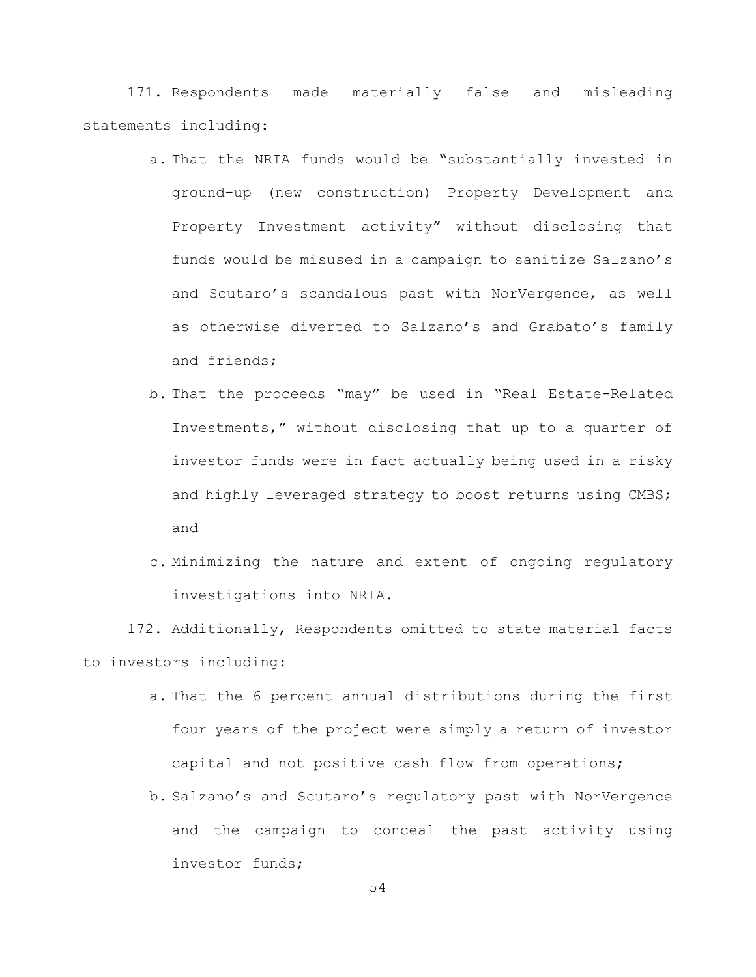171. Respondents made materially false and misleading statements including:

- a. That the NRIA funds would be "substantially invested in ground-up (new construction) Property Development and Property Investment activity" without disclosing that funds would be misused in a campaign to sanitize Salzano's and Scutaro's scandalous past with NorVergence, as well as otherwise diverted to Salzano's and Grabato's family and friends;
- b. That the proceeds "may" be used in "Real Estate-Related Investments," without disclosing that up to a quarter of investor funds were in fact actually being used in a risky and highly leveraged strategy to boost returns using CMBS; and
- c. Minimizing the nature and extent of ongoing regulatory investigations into NRIA.

172. Additionally, Respondents omitted to state material facts to investors including:

- a. That the 6 percent annual distributions during the first four years of the project were simply a return of investor capital and not positive cash flow from operations;
- b. Salzano's and Scutaro's regulatory past with NorVergence and the campaign to conceal the past activity using investor funds;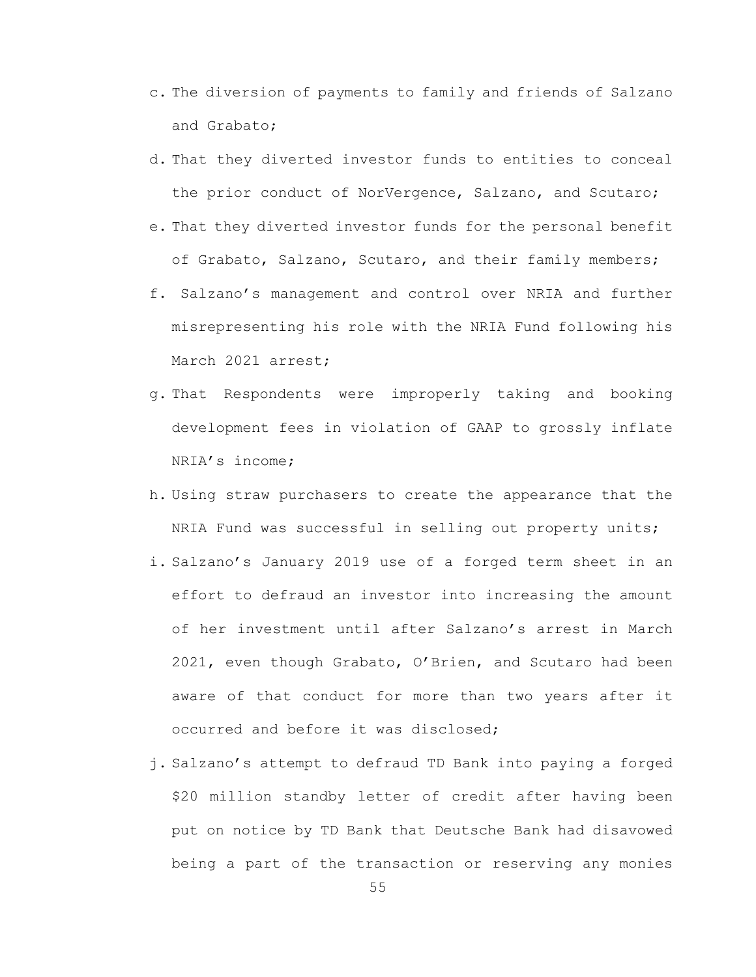- c. The diversion of payments to family and friends of Salzano and Grabato;
- d. That they diverted investor funds to entities to conceal the prior conduct of NorVergence, Salzano, and Scutaro;
- e. That they diverted investor funds for the personal benefit of Grabato, Salzano, Scutaro, and their family members;
- f. Salzano's management and control over NRIA and further misrepresenting his role with the NRIA Fund following his March 2021 arrest;
- g. That Respondents were improperly taking and booking development fees in violation of GAAP to grossly inflate NRIA's income;
- h. Using straw purchasers to create the appearance that the NRIA Fund was successful in selling out property units;
- i. Salzano's January 2019 use of a forged term sheet in an effort to defraud an investor into increasing the amount of her investment until after Salzano's arrest in March 2021, even though Grabato, O'Brien, and Scutaro had been aware of that conduct for more than two years after it occurred and before it was disclosed;
- j. Salzano's attempt to defraud TD Bank into paying a forged \$20 million standby letter of credit after having been put on notice by TD Bank that Deutsche Bank had disavowed being a part of the transaction or reserving any monies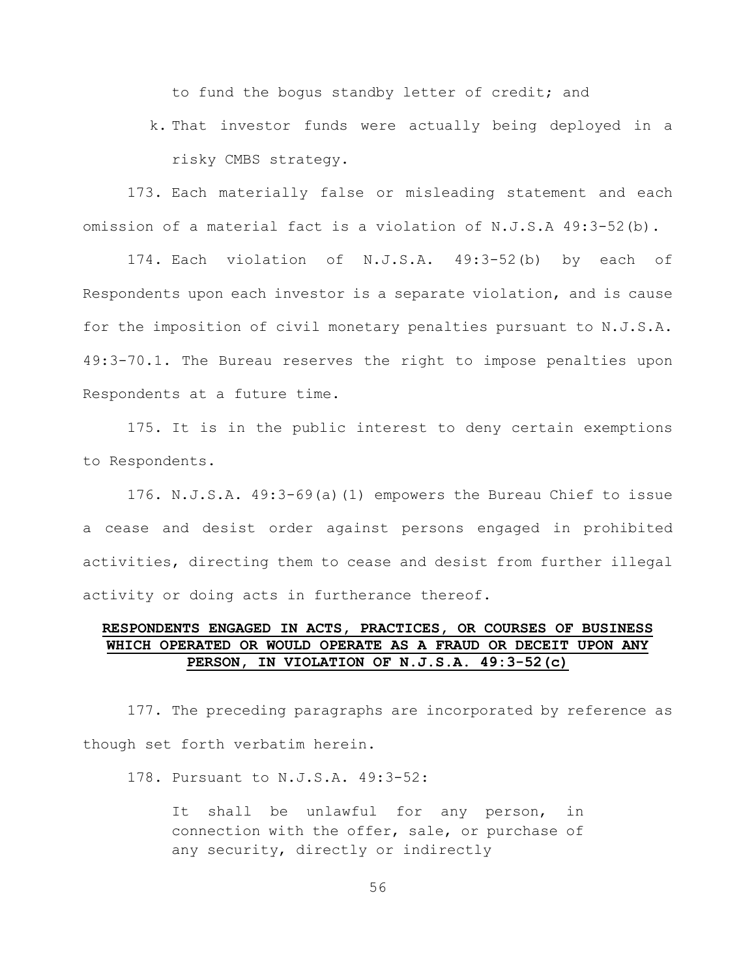to fund the bogus standby letter of credit; and

k. That investor funds were actually being deployed in a risky CMBS strategy.

173. Each materially false or misleading statement and each omission of a material fact is a violation of N.J.S.A 49:3-52(b).

174. Each violation of N.J.S.A. 49:3-52(b) by each of Respondents upon each investor is a separate violation, and is cause for the imposition of civil monetary penalties pursuant to N.J.S.A. 49:3-70.1. The Bureau reserves the right to impose penalties upon Respondents at a future time.

175. It is in the public interest to deny certain exemptions to Respondents.

176. N.J.S.A. 49:3-69(a)(1) empowers the Bureau Chief to issue a cease and desist order against persons engaged in prohibited activities, directing them to cease and desist from further illegal activity or doing acts in furtherance thereof.

### **RESPONDENTS ENGAGED IN ACTS, PRACTICES, OR COURSES OF BUSINESS WHICH OPERATED OR WOULD OPERATE AS A FRAUD OR DECEIT UPON ANY PERSON, IN VIOLATION OF N.J.S.A. 49:3-52(c)**

177. The preceding paragraphs are incorporated by reference as though set forth verbatim herein.

178. Pursuant to N.J.S.A. 49:3-52:

It shall be unlawful for any person, in connection with the offer, sale, or purchase of any security, directly or indirectly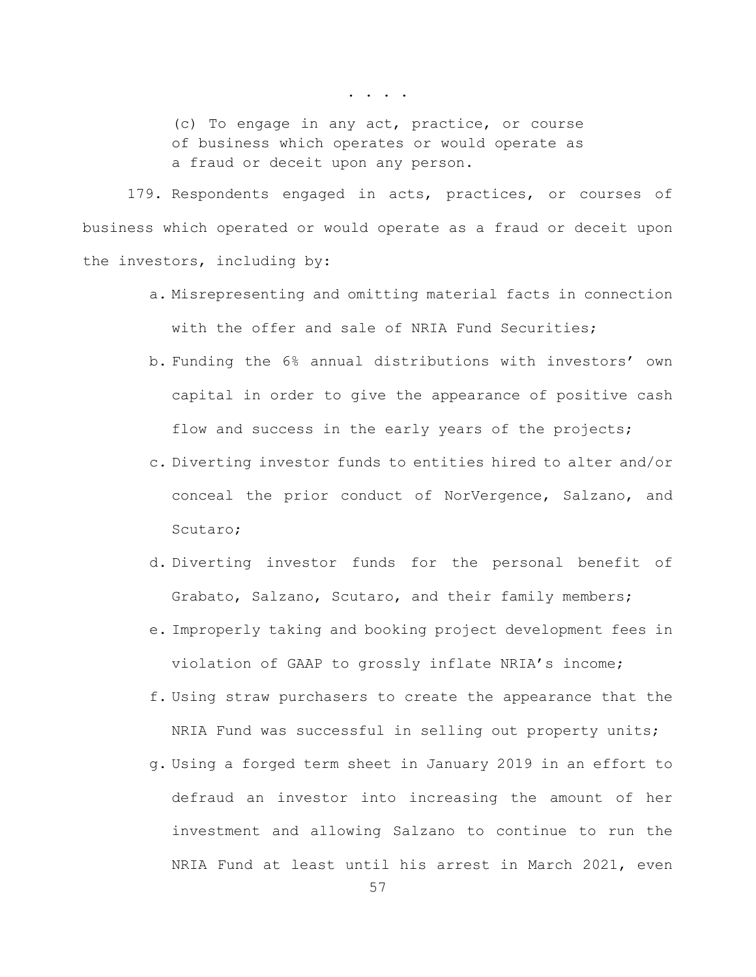. . . .

(c) To engage in any act, practice, or course of business which operates or would operate as a fraud or deceit upon any person.

179. Respondents engaged in acts, practices, or courses of business which operated or would operate as a fraud or deceit upon the investors, including by:

- a. Misrepresenting and omitting material facts in connection with the offer and sale of NRIA Fund Securities:
- b. Funding the 6% annual distributions with investors' own capital in order to give the appearance of positive cash flow and success in the early years of the projects;
- c. Diverting investor funds to entities hired to alter and/or conceal the prior conduct of NorVergence, Salzano, and Scutaro;
- d. Diverting investor funds for the personal benefit of Grabato, Salzano, Scutaro, and their family members;
- e. Improperly taking and booking project development fees in violation of GAAP to grossly inflate NRIA's income;
- f. Using straw purchasers to create the appearance that the NRIA Fund was successful in selling out property units;
- g. Using a forged term sheet in January 2019 in an effort to defraud an investor into increasing the amount of her investment and allowing Salzano to continue to run the NRIA Fund at least until his arrest in March 2021, even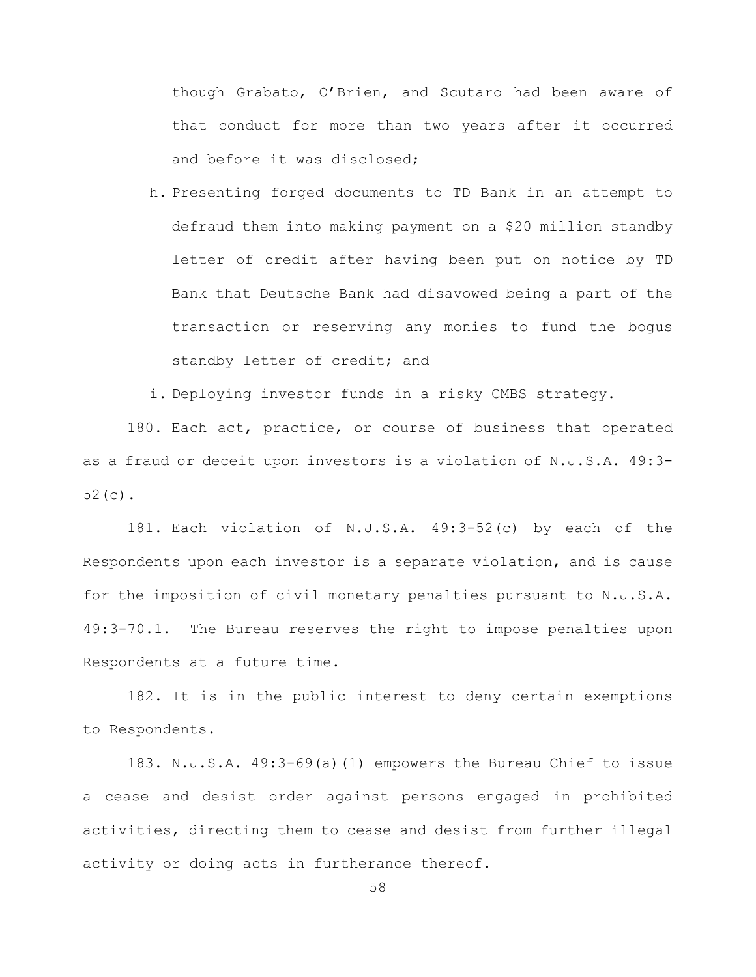though Grabato, O'Brien, and Scutaro had been aware of that conduct for more than two years after it occurred and before it was disclosed;

h. Presenting forged documents to TD Bank in an attempt to defraud them into making payment on a \$20 million standby letter of credit after having been put on notice by TD Bank that Deutsche Bank had disavowed being a part of the transaction or reserving any monies to fund the bogus standby letter of credit; and

i. Deploying investor funds in a risky CMBS strategy.

180. Each act, practice, or course of business that operated as a fraud or deceit upon investors is a violation of N.J.S.A. 49:3- 52(c).

181. Each violation of N.J.S.A. 49:3-52(c) by each of the Respondents upon each investor is a separate violation, and is cause for the imposition of civil monetary penalties pursuant to N.J.S.A. 49:3-70.1. The Bureau reserves the right to impose penalties upon Respondents at a future time.

182. It is in the public interest to deny certain exemptions to Respondents.

183. N.J.S.A. 49:3-69(a)(1) empowers the Bureau Chief to issue a cease and desist order against persons engaged in prohibited activities, directing them to cease and desist from further illegal activity or doing acts in furtherance thereof.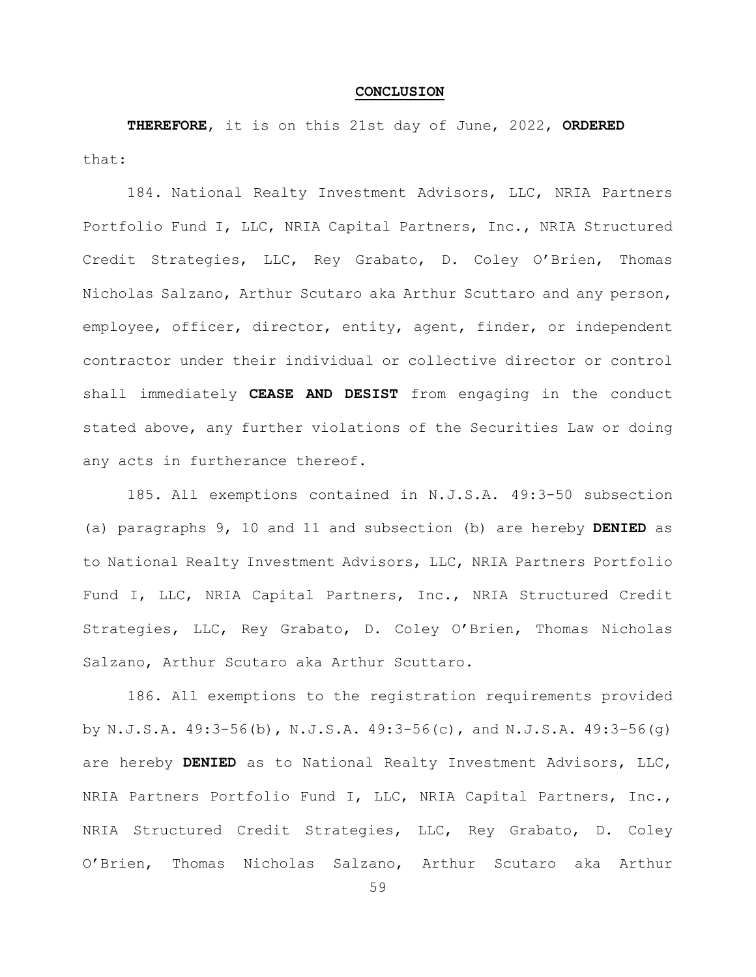#### **CONCLUSION**

**THEREFORE**, it is on this 21st day of June, 2022, **ORDERED** that:

184. National Realty Investment Advisors, LLC, NRIA Partners Portfolio Fund I, LLC, NRIA Capital Partners, Inc., NRIA Structured Credit Strategies, LLC, Rey Grabato, D. Coley O'Brien, Thomas Nicholas Salzano, Arthur Scutaro aka Arthur Scuttaro and any person, employee, officer, director, entity, agent, finder, or independent contractor under their individual or collective director or control shall immediately **CEASE AND DESIST** from engaging in the conduct stated above, any further violations of the Securities Law or doing any acts in furtherance thereof.

185. All exemptions contained in N.J.S.A. 49:3-50 subsection (a) paragraphs 9, 10 and 11 and subsection (b) are hereby **DENIED** as to National Realty Investment Advisors, LLC, NRIA Partners Portfolio Fund I, LLC, NRIA Capital Partners, Inc., NRIA Structured Credit Strategies, LLC, Rey Grabato, D. Coley O'Brien, Thomas Nicholas Salzano, Arthur Scutaro aka Arthur Scuttaro.

186. All exemptions to the registration requirements provided by N.J.S.A. 49:3-56(b), N.J.S.A. 49:3-56(c), and N.J.S.A. 49:3-56(g) are hereby **DENIED** as to National Realty Investment Advisors, LLC, NRIA Partners Portfolio Fund I, LLC, NRIA Capital Partners, Inc., NRIA Structured Credit Strategies, LLC, Rey Grabato, D. Coley O'Brien, Thomas Nicholas Salzano, Arthur Scutaro aka Arthur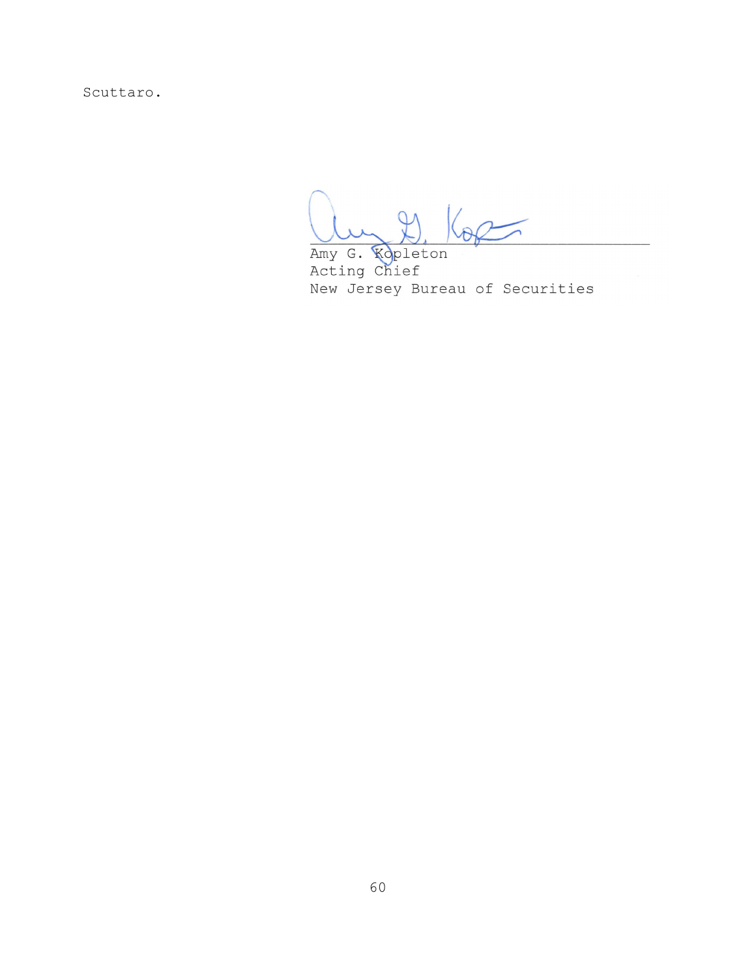Scuttaro.

Amy G. Kopleton<br>Acting Chief New Jersey Bureau of Securities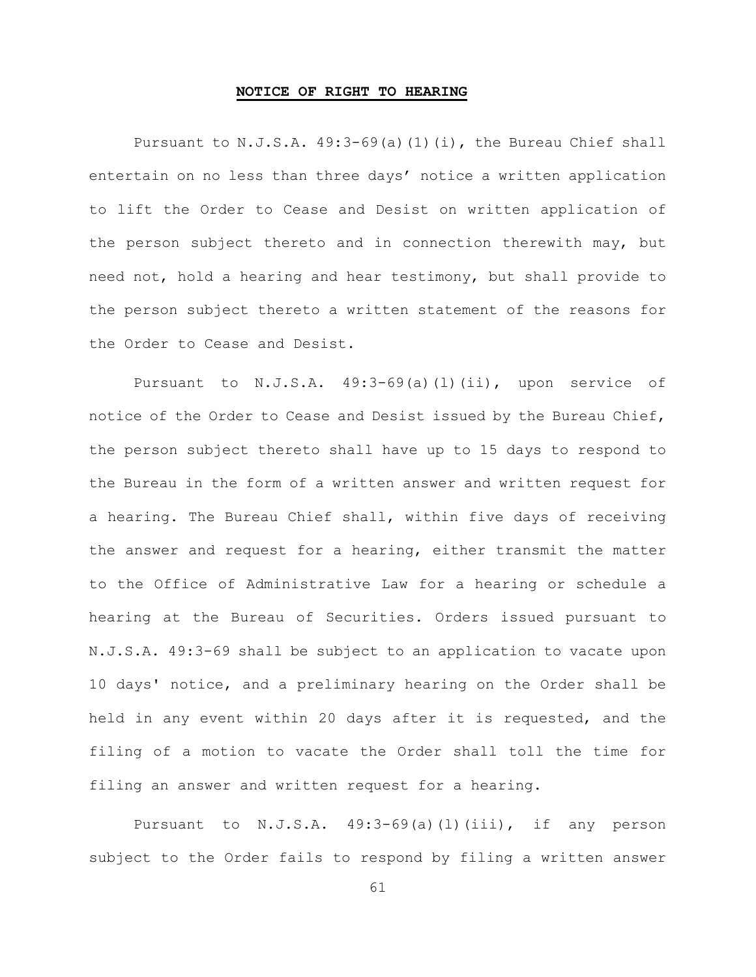#### **NOTICE OF RIGHT TO HEARING**

Pursuant to N.J.S.A. 49:3-69(a)(1)(i), the Bureau Chief shall entertain on no less than three days' notice a written application to lift the Order to Cease and Desist on written application of the person subject thereto and in connection therewith may, but need not, hold a hearing and hear testimony, but shall provide to the person subject thereto a written statement of the reasons for the Order to Cease and Desist.

Pursuant to N.J.S.A. 49:3-69(a)(l)(ii), upon service of notice of the Order to Cease and Desist issued by the Bureau Chief, the person subject thereto shall have up to 15 days to respond to the Bureau in the form of a written answer and written request for a hearing. The Bureau Chief shall, within five days of receiving the answer and request for a hearing, either transmit the matter to the Office of Administrative Law for a hearing or schedule a hearing at the Bureau of Securities. Orders issued pursuant to N.J.S.A. 49:3-69 shall be subject to an application to vacate upon 10 days' notice, and a preliminary hearing on the Order shall be held in any event within 20 days after it is requested, and the filing of a motion to vacate the Order shall toll the time for filing an answer and written request for a hearing.

Pursuant to N.J.S.A. 49:3-69(a)(l)(iii), if any person subject to the Order fails to respond by filing a written answer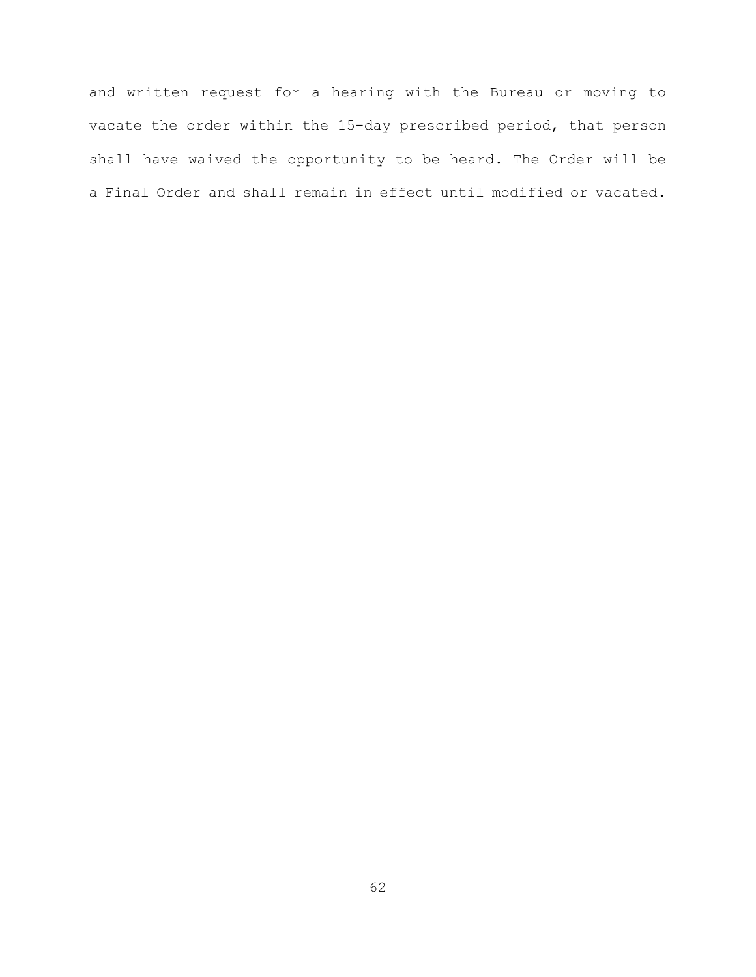and written request for a hearing with the Bureau or moving to vacate the order within the 15-day prescribed period, that person shall have waived the opportunity to be heard. The Order will be a Final Order and shall remain in effect until modified or vacated.